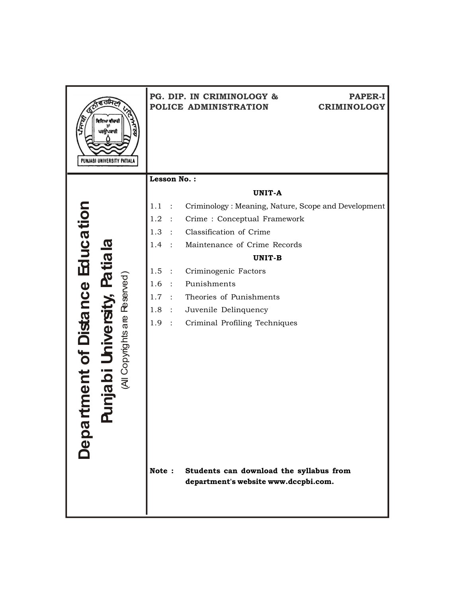| ਵਿਦਿਆ ਵੀਚਾਰੀ<br>ਤਾਂ<br>ਪਰਉਪਕਾਰੀ<br>PUNJABI UNIVERSITY PATIALA |                          | PG. DIP. IN CRIMINOLOGY &<br><b>PAPER-I</b><br>POLICE ADMINISTRATION<br><b>CRIMINOLOGY</b> |  |
|---------------------------------------------------------------|--------------------------|--------------------------------------------------------------------------------------------|--|
|                                                               | Lesson No.:              |                                                                                            |  |
|                                                               |                          | <b>UNIT-A</b>                                                                              |  |
| ment of Distance Education<br>tiala                           | 1.1                      | Criminology: Meaning, Nature, Scope and Development                                        |  |
|                                                               | 1.2<br>$\sim$ 100 $\sim$ | Crime: Conceptual Framework                                                                |  |
|                                                               | 1.3<br>$\sim$ 100 $\sim$ | Classification of Crime                                                                    |  |
|                                                               | 1.4                      | Maintenance of Crime Records                                                               |  |
|                                                               |                          | UNIT-B                                                                                     |  |
| ied                                                           | 1.5 :                    | Criminogenic Factors                                                                       |  |
|                                                               | 1.6<br>$\sim$ 100 $\sim$ | Punishments                                                                                |  |
|                                                               | 1.7<br>$\sim 10^{-11}$   | Theories of Punishments                                                                    |  |
|                                                               | 1.8<br>$\sim$ 100 $\sim$ | Juvenile Delinquency                                                                       |  |
|                                                               | 1.9<br>$\sim$ 100 $\sim$ | Criminal Profiling Techniques                                                              |  |
| (All Copyrights are Reserved)                                 |                          |                                                                                            |  |
| njabi U                                                       |                          |                                                                                            |  |
|                                                               |                          |                                                                                            |  |
|                                                               |                          |                                                                                            |  |
| <b>Baac</b>                                                   |                          |                                                                                            |  |
|                                                               |                          |                                                                                            |  |
|                                                               | Note:                    | Students can download the syllabus from<br>department's website www.dccpbi.com.            |  |
|                                                               |                          |                                                                                            |  |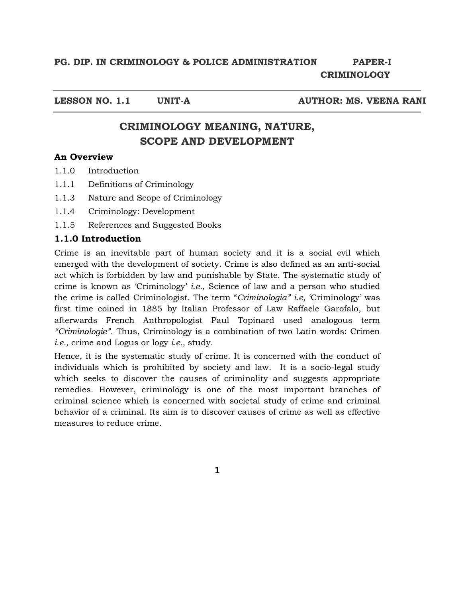**LESSON NO. 1.1 UNIT-A AUTHOR: MS. VEENA RANI** 

# **CRIMINOLOGY MEANING, NATURE, SCOPE AND DEVELOPMENT**

## **An Overview**

- 1.1.0 Introduction
- 1.1.1 Definitions of Criminology
- 1.1.3 Nature and Scope of Criminology
- 1.1.4 Criminology: Development
- 1.1.5 References and Suggested Books

## **1.1.0 Introduction**

Crime is an inevitable part of human society and it is a social evil which emerged with the development of society. Crime is also defined as an anti-social act which is forbidden by law and punishable by State. The systematic study of crime is known as 'Criminology' *i.e.,* Science of law and a person who studied the crime is called Criminologist. The term "*Criminologia" i.e,* 'Criminology' was first time coined in 1885 by Italian Professor of Law Raffaele Garofalo, but afterwards French Anthropologist Paul Topinard used analogous term *"Criminologie".* Thus, Criminology is a combination of two Latin words: Crimen *i.e.,* crime and Logus or logy *i.e.,* study.

Hence, it is the systematic study of crime. It is concerned with the conduct of individuals which is prohibited by society and law. It is a socio-legal study which seeks to discover the causes of criminality and suggests appropriate remedies. However, criminology is one of the most important branches of criminal science which is concerned with societal study of crime and criminal behavior of a criminal. Its aim is to discover causes of crime as well as effective measures to reduce crime.

**1**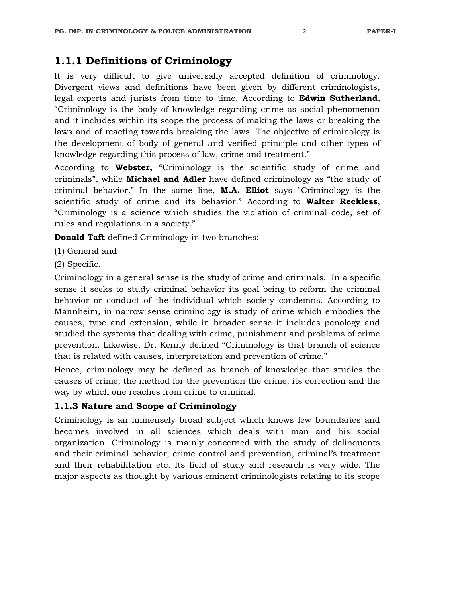# **1.1.1 Definitions of Criminology**

It is very difficult to give universally accepted definition of criminology. Divergent views and definitions have been given by different criminologists, legal experts and jurists from time to time. According to **Edwin Sutherland**, "Criminology is the body of knowledge regarding crime as social phenomenon and it includes within its scope the process of making the laws or breaking the laws and of reacting towards breaking the laws. The objective of criminology is the development of body of general and verified principle and other types of knowledge regarding this process of law, crime and treatment."

According to **Webster,** "Criminology is the scientific study of crime and criminals", while **Michael and Adler** have defined criminology as "the study of criminal behavior." In the same line, **M.A. Elliot** says "Criminology is the scientific study of crime and its behavior." According to **Walter Reckless**, "Criminology is a science which studies the violation of criminal code, set of rules and regulations in a society."

**Donald Taft** defined Criminology in two branches:

- (1) General and
- (2) Specific.

Criminology in a general sense is the study of crime and criminals. In a specific sense it seeks to study criminal behavior its goal being to reform the criminal behavior or conduct of the individual which society condemns. According to Mannheim, in narrow sense criminology is study of crime which embodies the causes, type and extension, while in broader sense it includes penology and studied the systems that dealing with crime, punishment and problems of crime prevention. Likewise, Dr. Kenny defined "Criminology is that branch of science that is related with causes, interpretation and prevention of crime."

Hence, criminology may be defined as branch of knowledge that studies the causes of crime, the method for the prevention the crime, its correction and the way by which one reaches from crime to criminal.

## **1.1.3 Nature and Scope of Criminology**

Criminology is an immensely broad subject which knows few boundaries and becomes involved in all sciences which deals with man and his social organization. Criminology is mainly concerned with the study of delinquents and their criminal behavior, crime control and prevention, criminal's treatment and their rehabilitation etc. Its field of study and research is very wide. The major aspects as thought by various eminent criminologists relating to its scope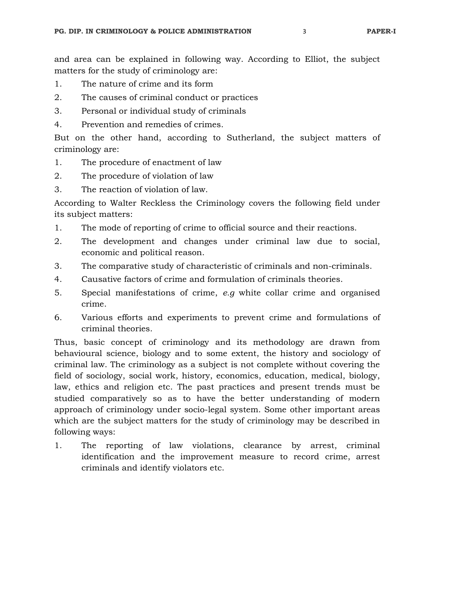and area can be explained in following way. According to Elliot, the subject matters for the study of criminology are:

- 1. The nature of crime and its form
- 2. The causes of criminal conduct or practices
- 3. Personal or individual study of criminals
- 4. Prevention and remedies of crimes.

But on the other hand, according to Sutherland, the subject matters of criminology are:

- 1. The procedure of enactment of law
- 2. The procedure of violation of law
- 3. The reaction of violation of law.

According to Walter Reckless the Criminology covers the following field under its subject matters:

- 1. The mode of reporting of crime to official source and their reactions.
- 2. The development and changes under criminal law due to social, economic and political reason.
- 3. The comparative study of characteristic of criminals and non-criminals.
- 4. Causative factors of crime and formulation of criminals theories.
- 5. Special manifestations of crime, *e.g* white collar crime and organised crime.
- 6. Various efforts and experiments to prevent crime and formulations of criminal theories.

Thus, basic concept of criminology and its methodology are drawn from behavioural science, biology and to some extent, the history and sociology of criminal law. The criminology as a subject is not complete without covering the field of sociology, social work, history, economics, education, medical, biology, law, ethics and religion etc. The past practices and present trends must be studied comparatively so as to have the better understanding of modern approach of criminology under socio-legal system. Some other important areas which are the subject matters for the study of criminology may be described in following ways:

1. The reporting of law violations, clearance by arrest, criminal identification and the improvement measure to record crime, arrest criminals and identify violators etc.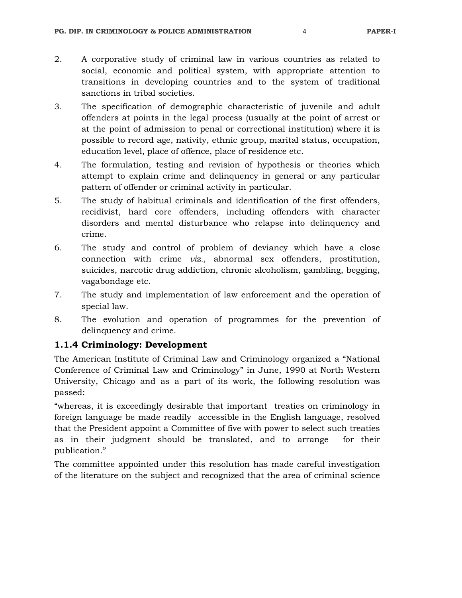- 2. A corporative study of criminal law in various countries as related to social, economic and political system, with appropriate attention to transitions in developing countries and to the system of traditional sanctions in tribal societies.
- 3. The specification of demographic characteristic of juvenile and adult offenders at points in the legal process (usually at the point of arrest or at the point of admission to penal or correctional institution) where it is possible to record age, nativity, ethnic group, marital status, occupation, education level, place of offence, place of residence etc.
- 4. The formulation, testing and revision of hypothesis or theories which attempt to explain crime and delinquency in general or any particular pattern of offender or criminal activity in particular.
- 5. The study of habitual criminals and identification of the first offenders, recidivist, hard core offenders, including offenders with character disorders and mental disturbance who relapse into delinquency and crime.
- 6. The study and control of problem of deviancy which have a close connection with crime *viz.,* abnormal sex offenders, prostitution, suicides, narcotic drug addiction, chronic alcoholism, gambling, begging, vagabondage etc.
- 7. The study and implementation of law enforcement and the operation of special law.
- 8. The evolution and operation of programmes for the prevention of delinquency and crime.

## **1.1.4 Criminology: Development**

The American Institute of Criminal Law and Criminology organized a "National Conference of Criminal Law and Criminology" in June, 1990 at North Western University, Chicago and as a part of its work, the following resolution was passed:

"whereas, it is exceedingly desirable that important treaties on criminology in foreign language be made readily accessible in the English language, resolved that the President appoint a Committee of five with power to select such treaties as in their judgment should be translated, and to arrange for their publication."

The committee appointed under this resolution has made careful investigation of the literature on the subject and recognized that the area of criminal science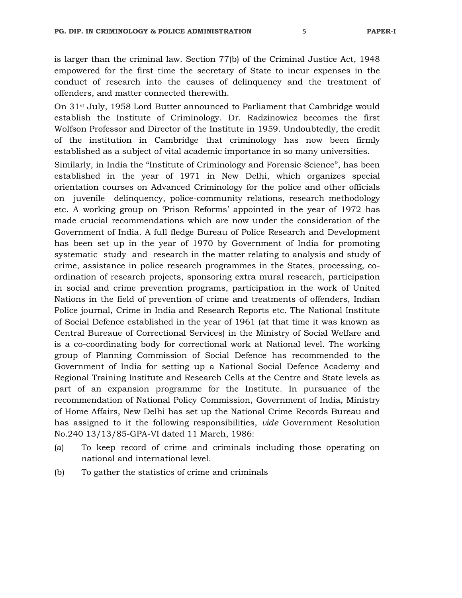is larger than the criminal law. Section 77(b) of the Criminal Justice Act, 1948 empowered for the first time the secretary of State to incur expenses in the conduct of research into the causes of delinquency and the treatment of offenders, and matter connected therewith.

On 31st July, 1958 Lord Butter announced to Parliament that Cambridge would establish the Institute of Criminology. Dr. Radzinowicz becomes the first Wolfson Professor and Director of the Institute in 1959. Undoubtedly, the credit of the institution in Cambridge that criminology has now been firmly established as a subject of vital academic importance in so many universities.

Similarly, in India the "Institute of Criminology and Forensic Science", has been established in the year of 1971 in New Delhi, which organizes special orientation courses on Advanced Criminology for the police and other officials on juvenile delinquency, police-community relations, research methodology etc. A working group on 'Prison Reforms' appointed in the year of 1972 has made crucial recommendations which are now under the consideration of the Government of India. A full fledge Bureau of Police Research and Development has been set up in the year of 1970 by Government of India for promoting systematic study and research in the matter relating to analysis and study of crime, assistance in police research programmes in the States, processing, coordination of research projects, sponsoring extra mural research, participation in social and crime prevention programs, participation in the work of United Nations in the field of prevention of crime and treatments of offenders, Indian Police journal, Crime in India and Research Reports etc. The National Institute of Social Defence established in the year of 1961 (at that time it was known as Central Bureaue of Correctional Services) in the Ministry of Social Welfare and is a co-coordinating body for correctional work at National level. The working group of Planning Commission of Social Defence has recommended to the Government of India for setting up a National Social Defence Academy and Regional Training Institute and Research Cells at the Centre and State levels as part of an expansion programme for the Institute. In pursuance of the recommendation of National Policy Commission, Government of India, Ministry of Home Affairs, New Delhi has set up the National Crime Records Bureau and has assigned to it the following responsibilities, *vide* Government Resolution No.240 13/13/85-GPA-VI dated 11 March, 1986:

- (a) To keep record of crime and criminals including those operating on national and international level.
- (b) To gather the statistics of crime and criminals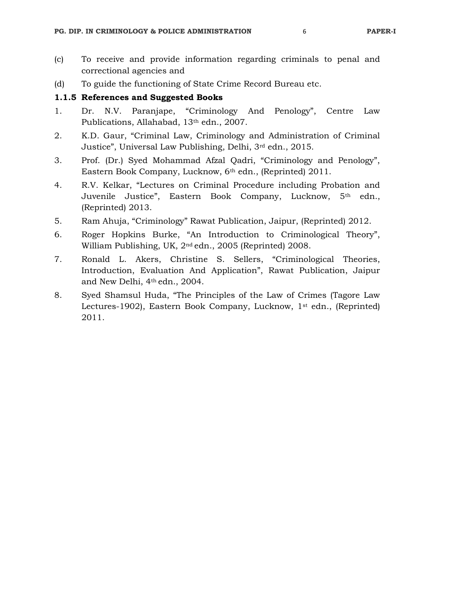(d) To guide the functioning of State Crime Record Bureau etc.

## **1.1.5 References and Suggested Books**

- 1. Dr. N.V. Paranjape, "Criminology And Penology", Centre Law Publications, Allahabad, 13<sup>th</sup> edn., 2007.
- 2. K.D. Gaur, "Criminal Law, Criminology and Administration of Criminal Justice", Universal Law Publishing, Delhi, 3rd edn., 2015.
- 3. Prof. (Dr.) Syed Mohammad Afzal Qadri, "Criminology and Penology", Eastern Book Company, Lucknow, 6th edn., (Reprinted) 2011.
- 4. R.V. Kelkar, "Lectures on Criminal Procedure including Probation and Juvenile Justice", Eastern Book Company, Lucknow, 5th edn., (Reprinted) 2013.
- 5. Ram Ahuja, "Criminology" Rawat Publication, Jaipur, (Reprinted) 2012.
- 6. Roger Hopkins Burke, "An Introduction to Criminological Theory", William Publishing, UK, 2nd edn., 2005 (Reprinted) 2008.
- 7. Ronald L. Akers, Christine S. Sellers, "Criminological Theories, Introduction, Evaluation And Application", Rawat Publication, Jaipur and New Delhi, 4th edn., 2004.
- 8. Syed Shamsul Huda, "The Principles of the Law of Crimes (Tagore Law Lectures-1902), Eastern Book Company, Lucknow, 1<sup>st</sup> edn., (Reprinted) 2011.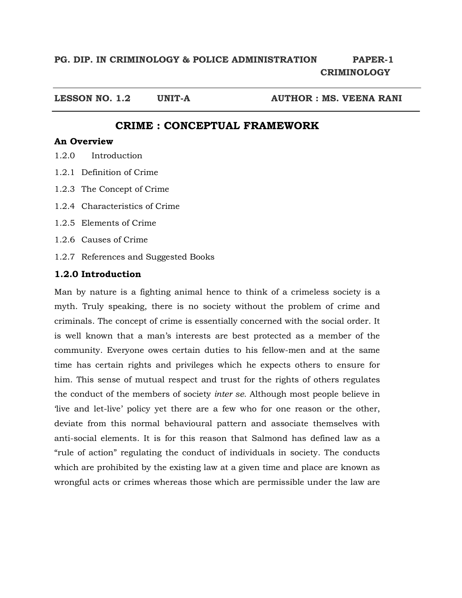**LESSON NO. 1.2 UNIT-A AUTHOR : MS. VEENA RANI** 

## **CRIME : CONCEPTUAL FRAMEWORK**

## **An Overview**

- 1.2.0 Introduction
- 1.2.1 Definition of Crime
- 1.2.3 The Concept of Crime
- 1.2.4 Characteristics of Crime
- 1.2.5 Elements of Crime
- 1.2.6 Causes of Crime
- 1.2.7 References and Suggested Books

## **1.2.0 Introduction**

Man by nature is a fighting animal hence to think of a crimeless society is a myth. Truly speaking, there is no society without the problem of crime and criminals. The concept of crime is essentially concerned with the social order. It is well known that a man's interests are best protected as a member of the community. Everyone owes certain duties to his fellow-men and at the same time has certain rights and privileges which he expects others to ensure for him. This sense of mutual respect and trust for the rights of others regulates the conduct of the members of society *inter se.* Although most people believe in 'live and let-live' policy yet there are a few who for one reason or the other, deviate from this normal behavioural pattern and associate themselves with anti-social elements. It is for this reason that Salmond has defined law as a "rule of action" regulating the conduct of individuals in society. The conducts which are prohibited by the existing law at a given time and place are known as wrongful acts or crimes whereas those which are permissible under the law are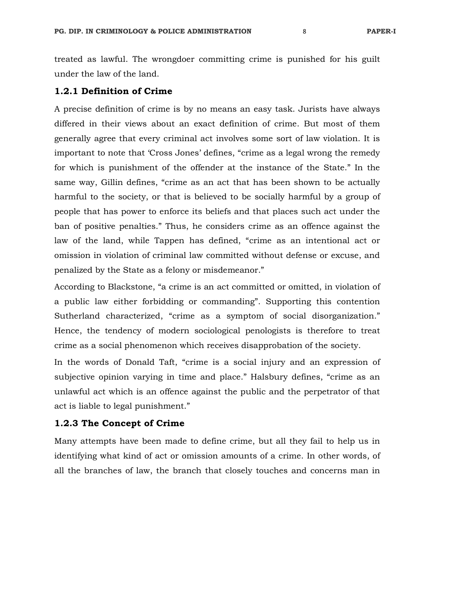treated as lawful. The wrongdoer committing crime is punished for his guilt under the law of the land.

#### **1.2.1 Definition of Crime**

A precise definition of crime is by no means an easy task. Jurists have always differed in their views about an exact definition of crime. But most of them generally agree that every criminal act involves some sort of law violation. It is important to note that 'Cross Jones' defines, "crime as a legal wrong the remedy for which is punishment of the offender at the instance of the State." In the same way, Gillin defines, "crime as an act that has been shown to be actually harmful to the society, or that is believed to be socially harmful by a group of people that has power to enforce its beliefs and that places such act under the ban of positive penalties." Thus, he considers crime as an offence against the law of the land, while Tappen has defined, "crime as an intentional act or omission in violation of criminal law committed without defense or excuse, and penalized by the State as a felony or misdemeanor."

According to Blackstone, "a crime is an act committed or omitted, in violation of a public law either forbidding or commanding". Supporting this contention Sutherland characterized, "crime as a symptom of social disorganization." Hence, the tendency of modern sociological penologists is therefore to treat crime as a social phenomenon which receives disapprobation of the society.

In the words of Donald Taft, "crime is a social injury and an expression of subjective opinion varying in time and place." Halsbury defines, "crime as an unlawful act which is an offence against the public and the perpetrator of that act is liable to legal punishment."

## **1.2.3 The Concept of Crime**

Many attempts have been made to define crime, but all they fail to help us in identifying what kind of act or omission amounts of a crime. In other words, of all the branches of law, the branch that closely touches and concerns man in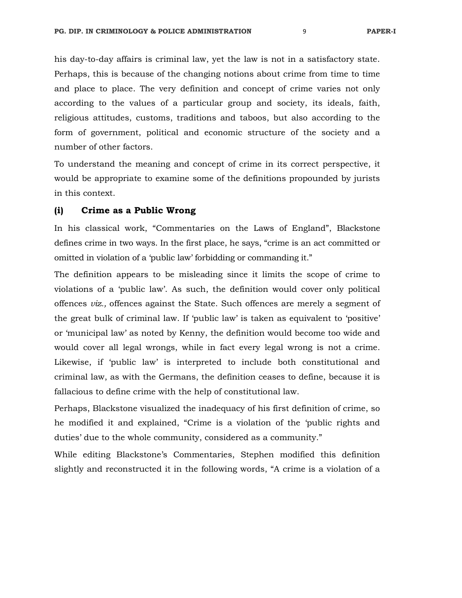his day-to-day affairs is criminal law, yet the law is not in a satisfactory state. Perhaps, this is because of the changing notions about crime from time to time and place to place. The very definition and concept of crime varies not only according to the values of a particular group and society, its ideals, faith, religious attitudes, customs, traditions and taboos, but also according to the form of government, political and economic structure of the society and a number of other factors.

To understand the meaning and concept of crime in its correct perspective, it would be appropriate to examine some of the definitions propounded by jurists in this context.

## **(i) Crime as a Public Wrong**

In his classical work, "Commentaries on the Laws of England", Blackstone defines crime in two ways. In the first place, he says, "crime is an act committed or omitted in violation of a 'public law' forbidding or commanding it."

The definition appears to be misleading since it limits the scope of crime to violations of a 'public law'. As such, the definition would cover only political offences *viz.,* offences against the State. Such offences are merely a segment of the great bulk of criminal law. If 'public law' is taken as equivalent to 'positive' or 'municipal law' as noted by Kenny, the definition would become too wide and would cover all legal wrongs, while in fact every legal wrong is not a crime. Likewise, if 'public law' is interpreted to include both constitutional and criminal law, as with the Germans, the definition ceases to define, because it is fallacious to define crime with the help of constitutional law.

Perhaps, Blackstone visualized the inadequacy of his first definition of crime, so he modified it and explained, "Crime is a violation of the 'public rights and duties' due to the whole community, considered as a community."

While editing Blackstone's Commentaries, Stephen modified this definition slightly and reconstructed it in the following words, "A crime is a violation of a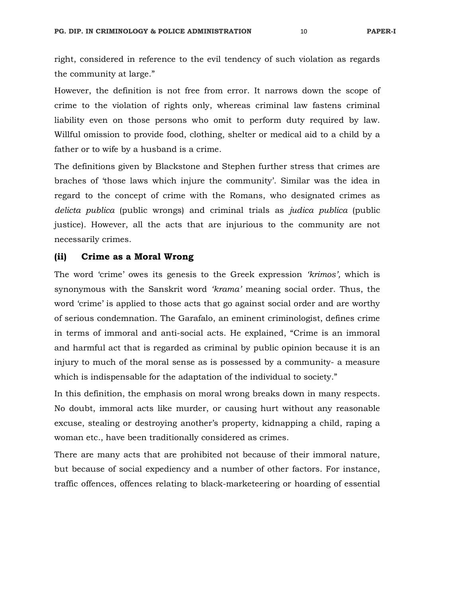right, considered in reference to the evil tendency of such violation as regards the community at large."

However, the definition is not free from error. It narrows down the scope of crime to the violation of rights only, whereas criminal law fastens criminal liability even on those persons who omit to perform duty required by law. Willful omission to provide food, clothing, shelter or medical aid to a child by a father or to wife by a husband is a crime.

The definitions given by Blackstone and Stephen further stress that crimes are braches of 'those laws which injure the community'. Similar was the idea in regard to the concept of crime with the Romans, who designated crimes as *delicta publica* (public wrongs) and criminal trials as *judica publica* (public justice). However, all the acts that are injurious to the community are not necessarily crimes.

#### **(ii) Crime as a Moral Wrong**

The word 'crime' owes its genesis to the Greek expression *'krimos',* which is synonymous with the Sanskrit word *'krama'* meaning social order. Thus, the word 'crime' is applied to those acts that go against social order and are worthy of serious condemnation. The Garafalo, an eminent criminologist, defines crime in terms of immoral and anti-social acts. He explained, "Crime is an immoral and harmful act that is regarded as criminal by public opinion because it is an injury to much of the moral sense as is possessed by a community- a measure which is indispensable for the adaptation of the individual to society."

In this definition, the emphasis on moral wrong breaks down in many respects. No doubt, immoral acts like murder, or causing hurt without any reasonable excuse, stealing or destroying another's property, kidnapping a child, raping a woman etc., have been traditionally considered as crimes.

There are many acts that are prohibited not because of their immoral nature, but because of social expediency and a number of other factors. For instance, traffic offences, offences relating to black-marketeering or hoarding of essential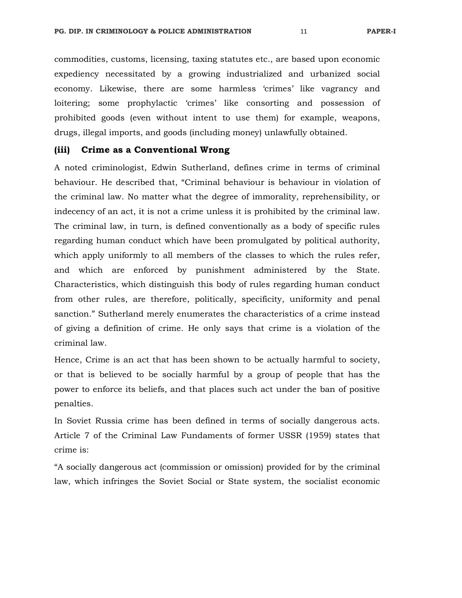commodities, customs, licensing, taxing statutes etc., are based upon economic expediency necessitated by a growing industrialized and urbanized social economy. Likewise, there are some harmless 'crimes' like vagrancy and loitering; some prophylactic 'crimes' like consorting and possession of prohibited goods (even without intent to use them) for example, weapons, drugs, illegal imports, and goods (including money) unlawfully obtained.

## **(iii) Crime as a Conventional Wrong**

A noted criminologist, Edwin Sutherland, defines crime in terms of criminal behaviour. He described that, "Criminal behaviour is behaviour in violation of the criminal law. No matter what the degree of immorality, reprehensibility, or indecency of an act, it is not a crime unless it is prohibited by the criminal law. The criminal law, in turn, is defined conventionally as a body of specific rules regarding human conduct which have been promulgated by political authority, which apply uniformly to all members of the classes to which the rules refer, and which are enforced by punishment administered by the State. Characteristics, which distinguish this body of rules regarding human conduct from other rules, are therefore, politically, specificity, uniformity and penal sanction." Sutherland merely enumerates the characteristics of a crime instead of giving a definition of crime. He only says that crime is a violation of the criminal law.

Hence, Crime is an act that has been shown to be actually harmful to society, or that is believed to be socially harmful by a group of people that has the power to enforce its beliefs, and that places such act under the ban of positive penalties.

In Soviet Russia crime has been defined in terms of socially dangerous acts. Article 7 of the Criminal Law Fundaments of former USSR (1959) states that crime is:

"A socially dangerous act (commission or omission) provided for by the criminal law, which infringes the Soviet Social or State system, the socialist economic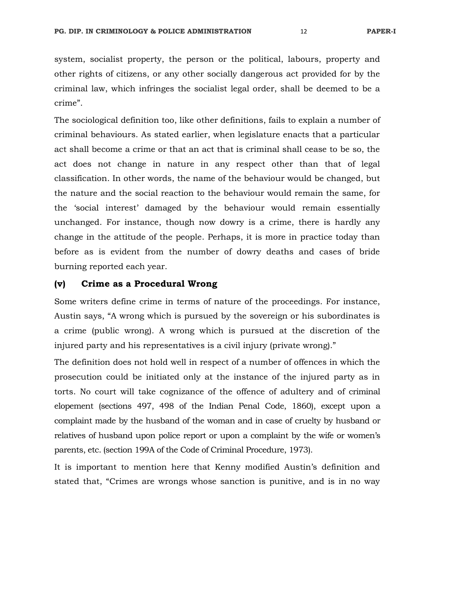system, socialist property, the person or the political, labours, property and other rights of citizens, or any other socially dangerous act provided for by the criminal law, which infringes the socialist legal order, shall be deemed to be a crime".

The sociological definition too, like other definitions, fails to explain a number of criminal behaviours. As stated earlier, when legislature enacts that a particular act shall become a crime or that an act that is criminal shall cease to be so, the act does not change in nature in any respect other than that of legal classification. In other words, the name of the behaviour would be changed, but the nature and the social reaction to the behaviour would remain the same, for the 'social interest' damaged by the behaviour would remain essentially unchanged. For instance, though now dowry is a crime, there is hardly any change in the attitude of the people. Perhaps, it is more in practice today than before as is evident from the number of dowry deaths and cases of bride burning reported each year.

## **(v) Crime as a Procedural Wrong**

Some writers define crime in terms of nature of the proceedings. For instance, Austin says, "A wrong which is pursued by the sovereign or his subordinates is a crime (public wrong). A wrong which is pursued at the discretion of the injured party and his representatives is a civil injury (private wrong)."

The definition does not hold well in respect of a number of offences in which the prosecution could be initiated only at the instance of the injured party as in torts. No court will take cognizance of the offence of adultery and of criminal elopement (sections 497, 498 of the Indian Penal Code, 1860), except upon a complaint made by the husband of the woman and in case of cruelty by husband or relatives of husband upon police report or upon a complaint by the wife or women's parents, etc. (section 199A of the Code of Criminal Procedure, 1973).

It is important to mention here that Kenny modified Austin's definition and stated that, "Crimes are wrongs whose sanction is punitive, and is in no way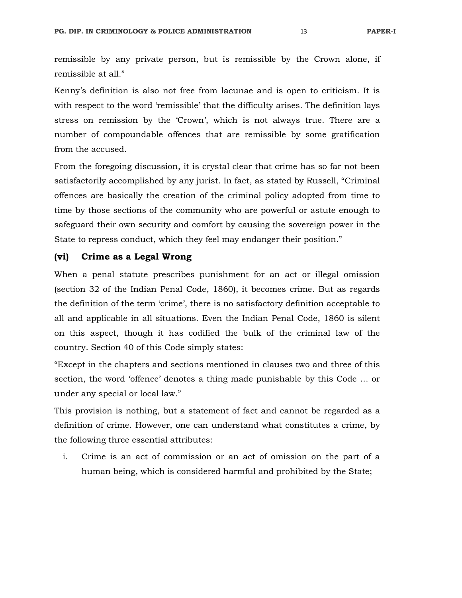remissible by any private person, but is remissible by the Crown alone, if remissible at all."

Kenny's definition is also not free from lacunae and is open to criticism. It is with respect to the word 'remissible' that the difficulty arises. The definition lays stress on remission by the 'Crown', which is not always true. There are a number of compoundable offences that are remissible by some gratification from the accused.

From the foregoing discussion, it is crystal clear that crime has so far not been satisfactorily accomplished by any jurist. In fact, as stated by Russell, "Criminal offences are basically the creation of the criminal policy adopted from time to time by those sections of the community who are powerful or astute enough to safeguard their own security and comfort by causing the sovereign power in the State to repress conduct, which they feel may endanger their position."

## **(vi) Crime as a Legal Wrong**

When a penal statute prescribes punishment for an act or illegal omission (section 32 of the Indian Penal Code, 1860), it becomes crime. But as regards the definition of the term 'crime', there is no satisfactory definition acceptable to all and applicable in all situations. Even the Indian Penal Code, 1860 is silent on this aspect, though it has codified the bulk of the criminal law of the country. Section 40 of this Code simply states:

"Except in the chapters and sections mentioned in clauses two and three of this section, the word 'offence' denotes a thing made punishable by this Code … or under any special or local law."

This provision is nothing, but a statement of fact and cannot be regarded as a definition of crime. However, one can understand what constitutes a crime, by the following three essential attributes:

i. Crime is an act of commission or an act of omission on the part of a human being, which is considered harmful and prohibited by the State;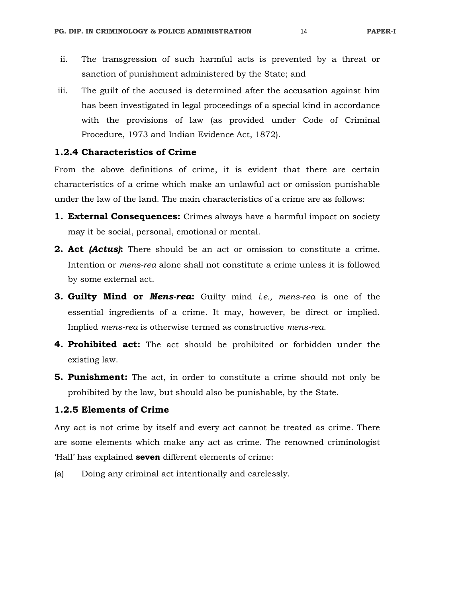- ii. The transgression of such harmful acts is prevented by a threat or sanction of punishment administered by the State; and
- iii. The guilt of the accused is determined after the accusation against him has been investigated in legal proceedings of a special kind in accordance with the provisions of law (as provided under Code of Criminal Procedure, 1973 and Indian Evidence Act, 1872).

## **1.2.4 Characteristics of Crime**

From the above definitions of crime, it is evident that there are certain characteristics of a crime which make an unlawful act or omission punishable under the law of the land. The main characteristics of a crime are as follows:

- **1. External Consequences:** Crimes always have a harmful impact on society may it be social, personal, emotional or mental.
- **2. Act** *(Actus)***:** There should be an act or omission to constitute a crime. Intention or *mens-rea* alone shall not constitute a crime unless it is followed by some external act.
- **3. Guilty Mind or** *Mens-rea***:** Guilty mind *i.e., mens-rea* is one of the essential ingredients of a crime. It may, however, be direct or implied. Implied *mens-rea* is otherwise termed as constructive *mens-rea*.
- **4. Prohibited act:** The act should be prohibited or forbidden under the existing law.
- **5. Punishment:** The act, in order to constitute a crime should not only be prohibited by the law, but should also be punishable, by the State.

## **1.2.5 Elements of Crime**

Any act is not crime by itself and every act cannot be treated as crime. There are some elements which make any act as crime. The renowned criminologist 'Hall' has explained **seven** different elements of crime:

(a) Doing any criminal act intentionally and carelessly.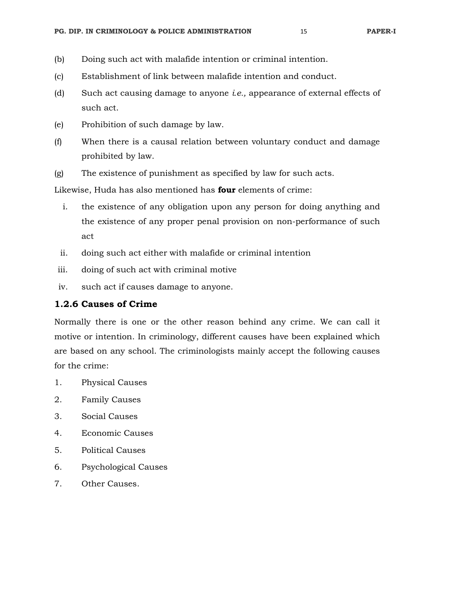- (b) Doing such act with malafide intention or criminal intention.
- (c) Establishment of link between malafide intention and conduct.
- (d) Such act causing damage to anyone *i.e.,* appearance of external effects of such act.
- (e) Prohibition of such damage by law.
- (f) When there is a causal relation between voluntary conduct and damage prohibited by law.
- (g) The existence of punishment as specified by law for such acts.

Likewise, Huda has also mentioned has **four** elements of crime:

- i. the existence of any obligation upon any person for doing anything and the existence of any proper penal provision on non-performance of such act
- ii. doing such act either with malafide or criminal intention
- iii. doing of such act with criminal motive
- iv. such act if causes damage to anyone.

## **1.2.6 Causes of Crime**

Normally there is one or the other reason behind any crime. We can call it motive or intention. In criminology, different causes have been explained which are based on any school. The criminologists mainly accept the following causes for the crime:

- 1. Physical Causes
- 2. Family Causes
- 3. Social Causes
- 4. Economic Causes
- 5. Political Causes
- 6. Psychological Causes
- 7. Other Causes.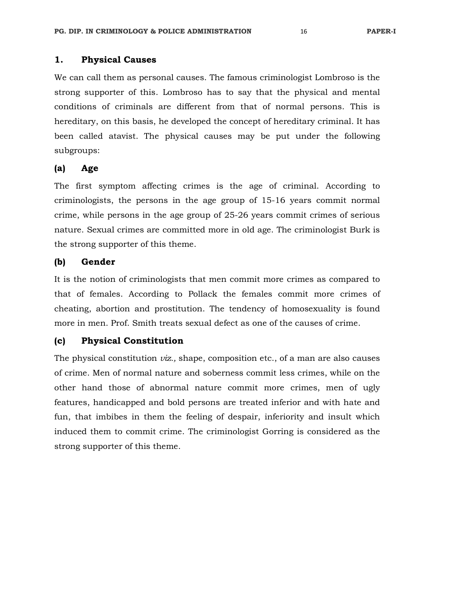## **1. Physical Causes**

We can call them as personal causes. The famous criminologist Lombroso is the strong supporter of this. Lombroso has to say that the physical and mental conditions of criminals are different from that of normal persons. This is hereditary, on this basis, he developed the concept of hereditary criminal. It has been called atavist. The physical causes may be put under the following subgroups:

## **(a) Age**

The first symptom affecting crimes is the age of criminal. According to criminologists, the persons in the age group of 15-16 years commit normal crime, while persons in the age group of 25-26 years commit crimes of serious nature. Sexual crimes are committed more in old age. The criminologist Burk is the strong supporter of this theme.

#### **(b) Gender**

It is the notion of criminologists that men commit more crimes as compared to that of females. According to Pollack the females commit more crimes of cheating, abortion and prostitution. The tendency of homosexuality is found more in men. Prof. Smith treats sexual defect as one of the causes of crime.

## **(c) Physical Constitution**

The physical constitution *viz.,* shape, composition etc., of a man are also causes of crime. Men of normal nature and soberness commit less crimes, while on the other hand those of abnormal nature commit more crimes, men of ugly features, handicapped and bold persons are treated inferior and with hate and fun, that imbibes in them the feeling of despair, inferiority and insult which induced them to commit crime. The criminologist Gorring is considered as the strong supporter of this theme.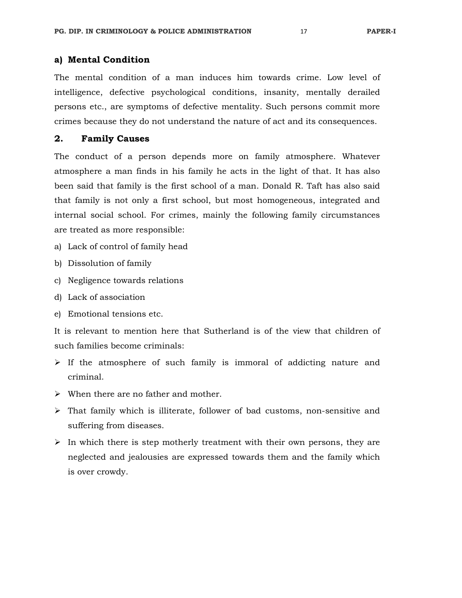## **a) Mental Condition**

The mental condition of a man induces him towards crime. Low level of intelligence, defective psychological conditions, insanity, mentally derailed persons etc., are symptoms of defective mentality. Such persons commit more crimes because they do not understand the nature of act and its consequences.

## **2. Family Causes**

The conduct of a person depends more on family atmosphere. Whatever atmosphere a man finds in his family he acts in the light of that. It has also been said that family is the first school of a man. Donald R. Taft has also said that family is not only a first school, but most homogeneous, integrated and internal social school. For crimes, mainly the following family circumstances are treated as more responsible:

- a) Lack of control of family head
- b) Dissolution of family
- c) Negligence towards relations
- d) Lack of association
- e) Emotional tensions etc.

It is relevant to mention here that Sutherland is of the view that children of such families become criminals:

- $\triangleright$  If the atmosphere of such family is immoral of addicting nature and criminal.
- $\triangleright$  When there are no father and mother.
- That family which is illiterate, follower of bad customs, non-sensitive and suffering from diseases.
- $\triangleright$  In which there is step motherly treatment with their own persons, they are neglected and jealousies are expressed towards them and the family which is over crowdy.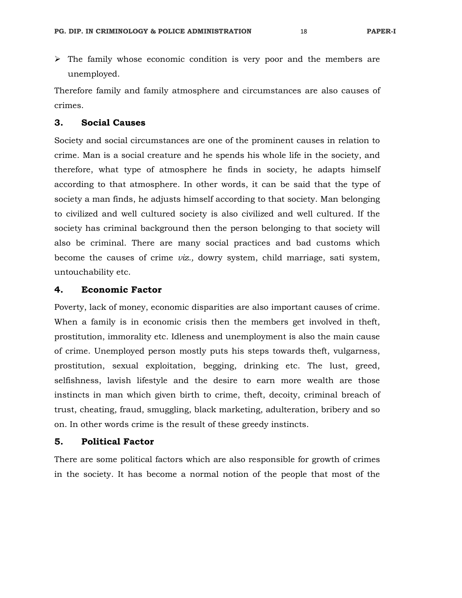$\triangleright$  The family whose economic condition is very poor and the members are unemployed.

Therefore family and family atmosphere and circumstances are also causes of crimes.

## **3. Social Causes**

Society and social circumstances are one of the prominent causes in relation to crime. Man is a social creature and he spends his whole life in the society, and therefore, what type of atmosphere he finds in society, he adapts himself according to that atmosphere. In other words, it can be said that the type of society a man finds, he adjusts himself according to that society. Man belonging to civilized and well cultured society is also civilized and well cultured. If the society has criminal background then the person belonging to that society will also be criminal. There are many social practices and bad customs which become the causes of crime *viz.,* dowry system, child marriage, sati system, untouchability etc.

## **4. Economic Factor**

Poverty, lack of money, economic disparities are also important causes of crime. When a family is in economic crisis then the members get involved in theft, prostitution, immorality etc. Idleness and unemployment is also the main cause of crime. Unemployed person mostly puts his steps towards theft, vulgarness, prostitution, sexual exploitation, begging, drinking etc. The lust, greed, selfishness, lavish lifestyle and the desire to earn more wealth are those instincts in man which given birth to crime, theft, decoity, criminal breach of trust, cheating, fraud, smuggling, black marketing, adulteration, bribery and so on. In other words crime is the result of these greedy instincts.

## **5. Political Factor**

There are some political factors which are also responsible for growth of crimes in the society. It has become a normal notion of the people that most of the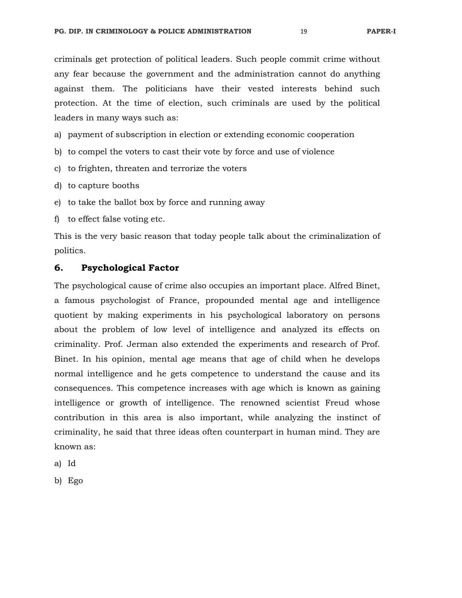criminals get protection of political leaders. Such people commit crime without any fear because the government and the administration cannot do anything against them. The politicians have their vested interests behind such protection. At the time of election, such criminals are used by the political leaders in many ways such as:

a) payment of subscription in election or extending economic cooperation

- b) to compel the voters to cast their vote by force and use of violence
- c) to frighten, threaten and terrorize the voters
- d) to capture booths
- e) to take the ballot box by force and running away
- f) to effect false voting etc.

This is the very basic reason that today people talk about the criminalization of politics.

## **6. Psychological Factor**

The psychological cause of crime also occupies an important place. Alfred Binet, a famous psychologist of France, propounded mental age and intelligence quotient by making experiments in his psychological laboratory on persons about the problem of low level of intelligence and analyzed its effects on criminality. Prof. Jerman also extended the experiments and research of Prof. Binet. In his opinion, mental age means that age of child when he develops normal intelligence and he gets competence to understand the cause and its consequences. This competence increases with age which is known as gaining intelligence or growth of intelligence. The renowned scientist Freud whose contribution in this area is also important, while analyzing the instinct of criminality, he said that three ideas often counterpart in human mind. They are known as:

a) Id

b) Ego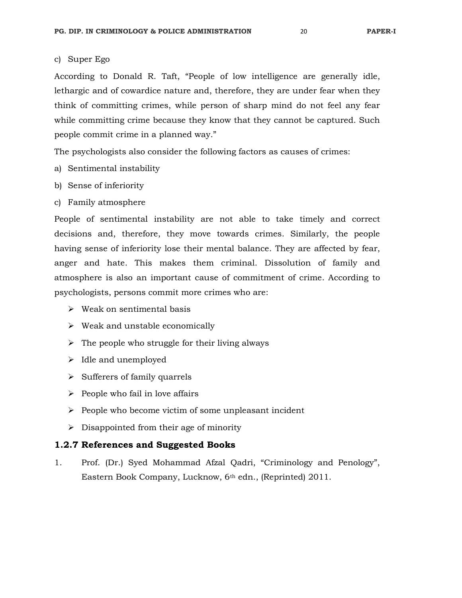#### c) Super Ego

According to Donald R. Taft, "People of low intelligence are generally idle, lethargic and of cowardice nature and, therefore, they are under fear when they think of committing crimes, while person of sharp mind do not feel any fear while committing crime because they know that they cannot be captured. Such people commit crime in a planned way."

The psychologists also consider the following factors as causes of crimes:

- a) Sentimental instability
- b) Sense of inferiority
- c) Family atmosphere

People of sentimental instability are not able to take timely and correct decisions and, therefore, they move towards crimes. Similarly, the people having sense of inferiority lose their mental balance. They are affected by fear, anger and hate. This makes them criminal. Dissolution of family and atmosphere is also an important cause of commitment of crime. According to psychologists, persons commit more crimes who are:

- $\triangleright$  Weak on sentimental basis
- $\triangleright$  Weak and unstable economically
- $\triangleright$  The people who struggle for their living always
- $\blacktriangleright$  Idle and unemployed
- $\triangleright$  Sufferers of family quarrels
- $\triangleright$  People who fail in love affairs
- $\triangleright$  People who become victim of some unpleasant incident
- $\triangleright$  Disappointed from their age of minority

## **1.2.7 References and Suggested Books**

1. Prof. (Dr.) Syed Mohammad Afzal Qadri, "Criminology and Penology", Eastern Book Company, Lucknow, 6th edn., (Reprinted) 2011.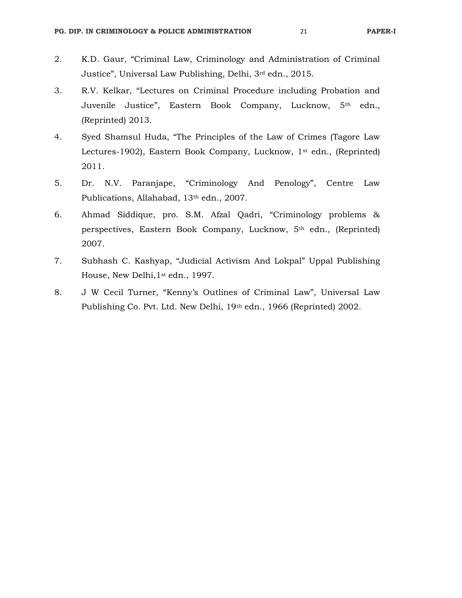- 2. K.D. Gaur, "Criminal Law, Criminology and Administration of Criminal Justice", Universal Law Publishing, Delhi, 3rd edn., 2015.
- 3. R.V. Kelkar, "Lectures on Criminal Procedure including Probation and Juvenile Justice", Eastern Book Company, Lucknow, 5th edn., (Reprinted) 2013.
- 4. Syed Shamsul Huda, "The Principles of the Law of Crimes (Tagore Law Lectures-1902), Eastern Book Company, Lucknow, 1st edn., (Reprinted) 2011.
- 5. Dr. N.V. Paranjape, "Criminology And Penology", Centre Law Publications, Allahabad, 13th edn., 2007.
- 6. Ahmad Siddique, pro. S.M. Afzal Qadri, "Criminology problems & perspectives, Eastern Book Company, Lucknow, 5th edn., (Reprinted) 2007.
- 7. Subhash C. Kashyap, "Judicial Activism And Lokpal" Uppal Publishing House, New Delhi,1st edn., 1997.
- 8. J W Cecil Turner, "Kenny's Outlines of Criminal Law", Universal Law Publishing Co. Pvt. Ltd. New Delhi, 19th edn., 1966 (Reprinted) 2002.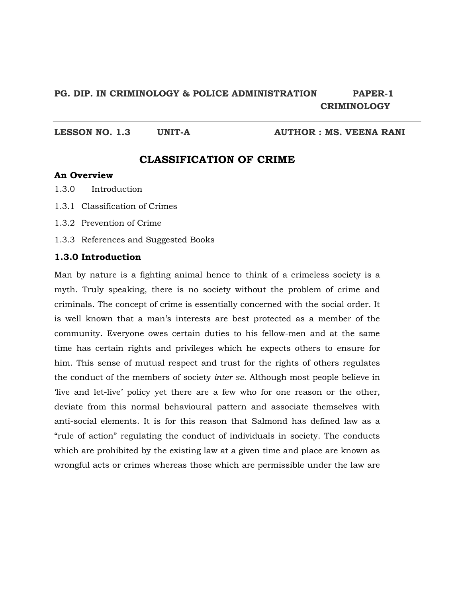# **PG. DIP. IN CRIMINOLOGY & POLICE ADMINISTRATION PAPER-1 CRIMINOLOGY**

LESSON NO. 1.3 UNIT-A **AUTHOR : MS. VEENA RANI** 

# **CLASSIFICATION OF CRIME**

## **An Overview**

- 1.3.0 Introduction
- 1.3.1 Classification of Crimes
- 1.3.2 Prevention of Crime
- 1.3.3 References and Suggested Books

#### **1.3.0 Introduction**

Man by nature is a fighting animal hence to think of a crimeless society is a myth. Truly speaking, there is no society without the problem of crime and criminals. The concept of crime is essentially concerned with the social order. It is well known that a man's interests are best protected as a member of the community. Everyone owes certain duties to his fellow-men and at the same time has certain rights and privileges which he expects others to ensure for him. This sense of mutual respect and trust for the rights of others regulates the conduct of the members of society *inter se.* Although most people believe in 'live and let-live' policy yet there are a few who for one reason or the other, deviate from this normal behavioural pattern and associate themselves with anti-social elements. It is for this reason that Salmond has defined law as a "rule of action" regulating the conduct of individuals in society. The conducts which are prohibited by the existing law at a given time and place are known as wrongful acts or crimes whereas those which are permissible under the law are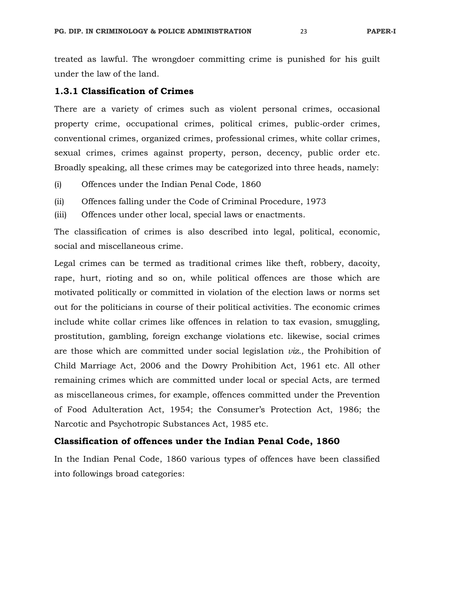treated as lawful. The wrongdoer committing crime is punished for his guilt under the law of the land.

## **1.3.1 Classification of Crimes**

There are a variety of crimes such as violent personal crimes, occasional property crime, occupational crimes, political crimes, public-order crimes, conventional crimes, organized crimes, professional crimes, white collar crimes, sexual crimes, crimes against property, person, decency, public order etc. Broadly speaking, all these crimes may be categorized into three heads, namely:

- (i) Offences under the Indian Penal Code, 1860
- (ii) Offences falling under the Code of Criminal Procedure, 1973

(iii) Offences under other local, special laws or enactments.

The classification of crimes is also described into legal, political, economic, social and miscellaneous crime.

Legal crimes can be termed as traditional crimes like theft, robbery, dacoity, rape, hurt, rioting and so on, while political offences are those which are motivated politically or committed in violation of the election laws or norms set out for the politicians in course of their political activities. The economic crimes include white collar crimes like offences in relation to tax evasion, smuggling, prostitution, gambling, foreign exchange violations etc. likewise, social crimes are those which are committed under social legislation *viz.,* the Prohibition of Child Marriage Act, 2006 and the Dowry Prohibition Act, 1961 etc. All other remaining crimes which are committed under local or special Acts, are termed as miscellaneous crimes, for example, offences committed under the Prevention of Food Adulteration Act, 1954; the Consumer's Protection Act, 1986; the Narcotic and Psychotropic Substances Act, 1985 etc.

## **Classification of offences under the Indian Penal Code, 1860**

In the Indian Penal Code, 1860 various types of offences have been classified into followings broad categories: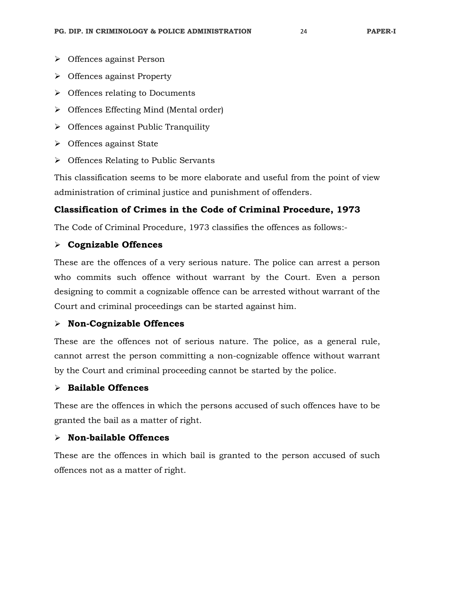- Offences against Person
- $\triangleright$  Offences against Property
- $\triangleright$  Offences relating to Documents
- $\triangleright$  Offences Effecting Mind (Mental order)
- $\triangleright$  Offences against Public Tranquility
- $\triangleright$  Offences against State
- $\triangleright$  Offences Relating to Public Servants

This classification seems to be more elaborate and useful from the point of view administration of criminal justice and punishment of offenders.

## **Classification of Crimes in the Code of Criminal Procedure, 1973**

The Code of Criminal Procedure, 1973 classifies the offences as follows:-

## **Cognizable Offences**

These are the offences of a very serious nature. The police can arrest a person who commits such offence without warrant by the Court. Even a person designing to commit a cognizable offence can be arrested without warrant of the Court and criminal proceedings can be started against him.

## **Non-Cognizable Offences**

These are the offences not of serious nature. The police, as a general rule, cannot arrest the person committing a non-cognizable offence without warrant by the Court and criminal proceeding cannot be started by the police.

## **Bailable Offences**

These are the offences in which the persons accused of such offences have to be granted the bail as a matter of right.

## **Non-bailable Offences**

These are the offences in which bail is granted to the person accused of such offences not as a matter of right.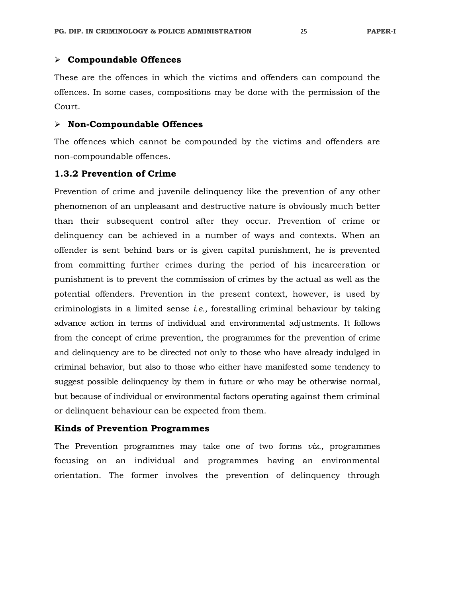#### **Compoundable Offences**

These are the offences in which the victims and offenders can compound the offences. In some cases, compositions may be done with the permission of the Court.

## **Non-Compoundable Offences**

The offences which cannot be compounded by the victims and offenders are non-compoundable offences.

#### **1.3.2 Prevention of Crime**

Prevention of crime and juvenile delinquency like the prevention of any other phenomenon of an unpleasant and destructive nature is obviously much better than their subsequent control after they occur. Prevention of crime or delinquency can be achieved in a number of ways and contexts. When an offender is sent behind bars or is given capital punishment, he is prevented from committing further crimes during the period of his incarceration or punishment is to prevent the commission of crimes by the actual as well as the potential offenders. Prevention in the present context, however, is used by criminologists in a limited sense *i.e.,* forestalling criminal behaviour by taking advance action in terms of individual and environmental adjustments. It follows from the concept of crime prevention, the programmes for the prevention of crime and delinquency are to be directed not only to those who have already indulged in criminal behavior, but also to those who either have manifested some tendency to suggest possible delinquency by them in future or who may be otherwise normal, but because of individual or environmental factors operating against them criminal or delinquent behaviour can be expected from them.

#### **Kinds of Prevention Programmes**

The Prevention programmes may take one of two forms *viz.,* programmes focusing on an individual and programmes having an environmental orientation. The former involves the prevention of delinquency through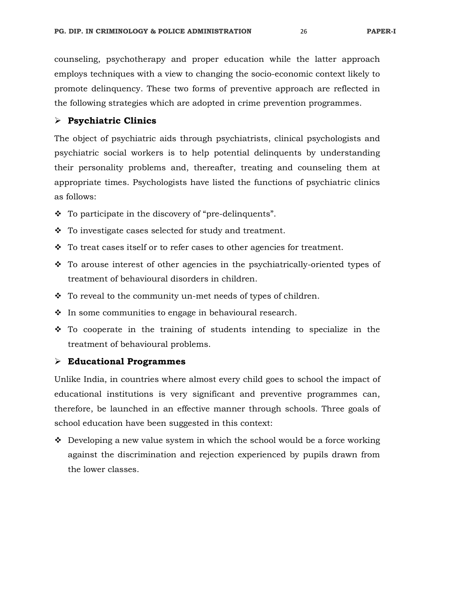counseling, psychotherapy and proper education while the latter approach employs techniques with a view to changing the socio-economic context likely to promote delinquency. These two forms of preventive approach are reflected in the following strategies which are adopted in crime prevention programmes.

## **Psychiatric Clinics**

The object of psychiatric aids through psychiatrists, clinical psychologists and psychiatric social workers is to help potential delinquents by understanding their personality problems and, thereafter, treating and counseling them at appropriate times. Psychologists have listed the functions of psychiatric clinics as follows:

- $\cdot$  To participate in the discovery of "pre-delinquents".
- $\div$  To investigate cases selected for study and treatment.
- $\bullet$  To treat cases itself or to refer cases to other agencies for treatment.
- To arouse interest of other agencies in the psychiatrically-oriented types of treatment of behavioural disorders in children.
- $\cdot \cdot$  To reveal to the community un-met needs of types of children.
- $\cdot$  In some communities to engage in behavioural research.
- To cooperate in the training of students intending to specialize in the treatment of behavioural problems.

#### **Educational Programmes**

Unlike India, in countries where almost every child goes to school the impact of educational institutions is very significant and preventive programmes can, therefore, be launched in an effective manner through schools. Three goals of school education have been suggested in this context:

 $\bullet$  Developing a new value system in which the school would be a force working against the discrimination and rejection experienced by pupils drawn from the lower classes.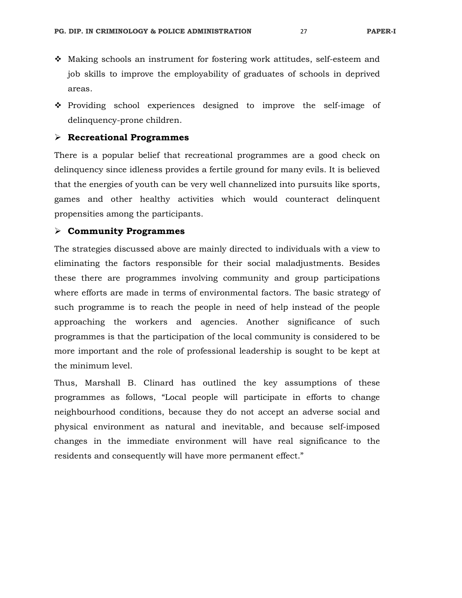- $\div$  Making schools an instrument for fostering work attitudes, self-esteem and job skills to improve the employability of graduates of schools in deprived areas.
- Providing school experiences designed to improve the self-image of delinquency-prone children.

## **Recreational Programmes**

There is a popular belief that recreational programmes are a good check on delinquency since idleness provides a fertile ground for many evils. It is believed that the energies of youth can be very well channelized into pursuits like sports, games and other healthy activities which would counteract delinquent propensities among the participants.

#### **Community Programmes**

The strategies discussed above are mainly directed to individuals with a view to eliminating the factors responsible for their social maladjustments. Besides these there are programmes involving community and group participations where efforts are made in terms of environmental factors. The basic strategy of such programme is to reach the people in need of help instead of the people approaching the workers and agencies. Another significance of such programmes is that the participation of the local community is considered to be more important and the role of professional leadership is sought to be kept at the minimum level.

Thus, Marshall B. Clinard has outlined the key assumptions of these programmes as follows, "Local people will participate in efforts to change neighbourhood conditions, because they do not accept an adverse social and physical environment as natural and inevitable, and because self-imposed changes in the immediate environment will have real significance to the residents and consequently will have more permanent effect."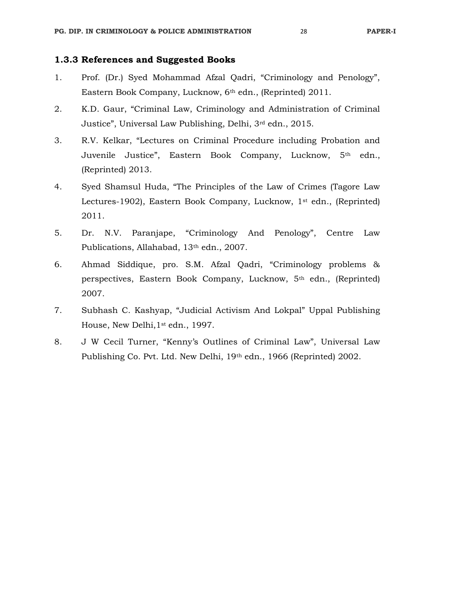- 1. Prof. (Dr.) Syed Mohammad Afzal Qadri, "Criminology and Penology", Eastern Book Company, Lucknow, 6th edn., (Reprinted) 2011.
- 2. K.D. Gaur, "Criminal Law, Criminology and Administration of Criminal Justice", Universal Law Publishing, Delhi, 3rd edn., 2015.
- 3. R.V. Kelkar, "Lectures on Criminal Procedure including Probation and Juvenile Justice", Eastern Book Company, Lucknow, 5<sup>th</sup> edn., (Reprinted) 2013.
- 4. Syed Shamsul Huda, "The Principles of the Law of Crimes (Tagore Law Lectures-1902), Eastern Book Company, Lucknow, 1<sup>st</sup> edn., (Reprinted) 2011.
- 5. Dr. N.V. Paranjape, "Criminology And Penology", Centre Law Publications, Allahabad, 13<sup>th</sup> edn., 2007.
- 6. Ahmad Siddique, pro. S.M. Afzal Qadri, "Criminology problems & perspectives, Eastern Book Company, Lucknow, 5th edn., (Reprinted) 2007.
- 7. Subhash C. Kashyap, "Judicial Activism And Lokpal" Uppal Publishing House, New Delhi,1st edn., 1997.
- 8. J W Cecil Turner, "Kenny's Outlines of Criminal Law", Universal Law Publishing Co. Pvt. Ltd. New Delhi, 19th edn., 1966 (Reprinted) 2002.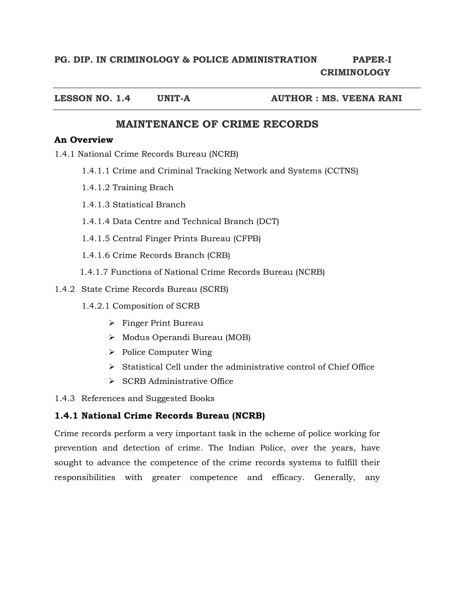# **PG. DIP. IN CRIMINOLOGY & POLICE ADMINISTRATION PAPER-I CRIMINOLOGY**

**LESSON NO. 1.4 UNIT-A AUTHOR : MS. VEENA RANI** 

# **MAINTENANCE OF CRIME RECORDS**

## **An Overview**

1.4.1 National Crime Records Bureau (NCRB)

- 1.4.1.1 Crime and Criminal Tracking Network and Systems (CCTNS)
- 1.4.1.2 Training Brach
- 1.4.1.3 Statistical Branch
- 1.4.1.4 Data Centre and Technical Branch (DCT)
- 1.4.1.5 Central Finger Prints Bureau (CFPB)
- 1.4.1.6 Crime Records Branch (CRB)
- 1.4.1.7 Functions of National Crime Records Bureau (NCRB)
- 1.4.2 State Crime Records Bureau (SCRB)
	- 1.4.2.1 Composition of SCRB
		- $\triangleright$  Finger Print Bureau
		- Modus Operandi Bureau (MOB)
		- $\triangleright$  Police Computer Wing
		- $\triangleright$  Statistical Cell under the administrative control of Chief Office
		- $\triangleright$  SCRB Administrative Office

1.4.3 References and Suggested Books

## **1.4.1 National Crime Records Bureau (NCRB)**

Crime records perform a very important task in the scheme of police working for prevention and detection of crime. The Indian Police, over the years, have sought to advance the competence of the crime records systems to fulfill their responsibilities with greater competence and efficacy. Generally, any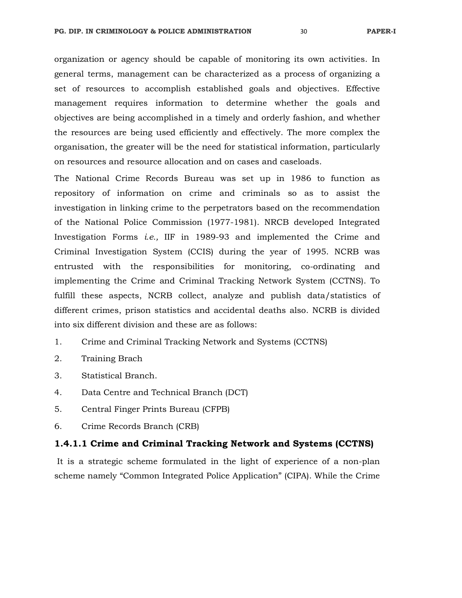organization or agency should be capable of monitoring its own activities. In general terms, management can be characterized as a process of organizing a set of resources to accomplish established goals and objectives. Effective management requires information to determine whether the goals and objectives are being accomplished in a timely and orderly fashion, and whether the resources are being used efficiently and effectively. The more complex the organisation, the greater will be the need for statistical information, particularly on resources and resource allocation and on cases and caseloads.

The National Crime Records Bureau was set up in 1986 to function as repository of information on crime and criminals so as to assist the investigation in linking crime to the perpetrators based on the recommendation of the National Police Commission (1977-1981). NRCB developed Integrated Investigation Forms *i.e.,* IIF in 1989-93 and implemented the Crime and Criminal Investigation System (CCIS) during the year of 1995. NCRB was entrusted with the responsibilities for monitoring, co-ordinating and implementing the Crime and Criminal Tracking Network System (CCTNS). To fulfill these aspects, NCRB collect, analyze and publish data/statistics of different crimes, prison statistics and accidental deaths also. NCRB is divided into six different division and these are as follows:

- 1. Crime and Criminal Tracking Network and Systems (CCTNS)
- 2. Training Brach
- 3. Statistical Branch.
- 4. Data Centre and Technical Branch (DCT)
- 5. Central Finger Prints Bureau (CFPB)
- 6. Crime Records Branch (CRB)

#### **1.4.1.1 Crime and Criminal Tracking Network and Systems (CCTNS)**

It is a strategic scheme formulated in the light of experience of a non-plan scheme namely "Common Integrated Police Application" (CIPA). While the Crime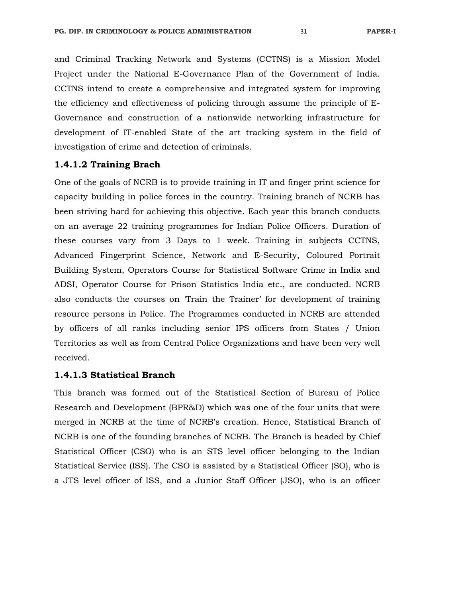and Criminal Tracking Network and Systems (CCTNS) is a Mission Model Project under the National E-Governance Plan of the Government of India. CCTNS intend to create a comprehensive and integrated system for improving the efficiency and effectiveness of policing through assume the principle of E-Governance and construction of a nationwide networking infrastructure for development of IT-enabled State of the art tracking system in the field of investigation of crime and detection of criminals.

#### **1.4.1.2 Training Brach**

One of the goals of NCRB is to provide training in IT and finger print science for capacity building in police forces in the country. Training branch of NCRB has been striving hard for achieving this objective. Each year this branch conducts on an average 22 training programmes for Indian Police Officers. Duration of these courses vary from 3 Days to 1 week. Training in subjects CCTNS, Advanced Fingerprint Science, Network and E-Security, Coloured Portrait Building System, Operators Course for Statistical Software Crime in India and ADSI, Operator Course for Prison Statistics India etc., are conducted. NCRB also conducts the courses on 'Train the Trainer' for development of training resource persons in Police. The Programmes conducted in NCRB are attended by officers of all ranks including senior IPS officers from States / Union Territories as well as from Central Police Organizations and have been very well received.

### **1.4.1.3 Statistical Branch**

This branch was formed out of the Statistical Section of Bureau of Police Research and Development (BPR&D) which was one of the four units that were merged in NCRB at the time of NCRB's creation. Hence, Statistical Branch of NCRB is one of the founding branches of NCRB. The Branch is headed by Chief Statistical Officer (CSO) who is an STS level officer belonging to the Indian Statistical Service (ISS). The CSO is assisted by a Statistical Officer (SO), who is a JTS level officer of ISS, and a Junior Staff Officer (JSO), who is an officer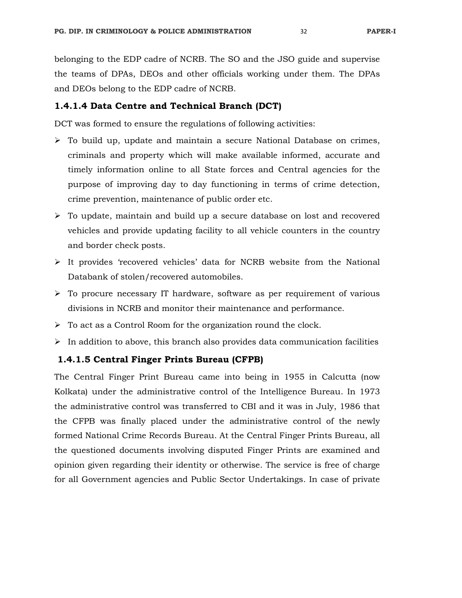belonging to the EDP cadre of NCRB. The SO and the JSO guide and supervise the teams of DPAs, DEOs and other officials working under them. The DPAs and DEOs belong to the EDP cadre of NCRB.

## **1.4.1.4 Data Centre and Technical Branch (DCT)**

DCT was formed to ensure the regulations of following activities:

- $\triangleright$  To build up, update and maintain a secure National Database on crimes, criminals and property which will make available informed, accurate and timely information online to all State forces and Central agencies for the purpose of improving day to day functioning in terms of crime detection, crime prevention, maintenance of public order etc.
- To update, maintain and build up a secure database on lost and recovered vehicles and provide updating facility to all vehicle counters in the country and border check posts.
- $\triangleright$  It provides 'recovered vehicles' data for NCRB website from the National Databank of stolen/recovered automobiles.
- $\triangleright$  To procure necessary IT hardware, software as per requirement of various divisions in NCRB and monitor their maintenance and performance.
- $\triangleright$  To act as a Control Room for the organization round the clock.
- $\triangleright$  In addition to above, this branch also provides data communication facilities

## **1.4.1.5 Central Finger Prints Bureau (CFPB)**

The Central Finger Print Bureau came into being in 1955 in Calcutta (now Kolkata) under the administrative control of the Intelligence Bureau. In 1973 the administrative control was transferred to CBI and it was in July, 1986 that the CFPB was finally placed under the administrative control of the newly formed National Crime Records Bureau. At the Central Finger Prints Bureau, all the questioned documents involving disputed Finger Prints are examined and opinion given regarding their identity or otherwise. The service is free of charge for all Government agencies and Public Sector Undertakings. In case of private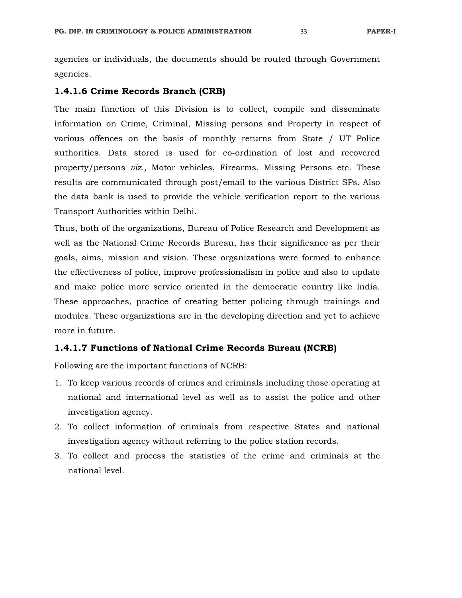agencies or individuals, the documents should be routed through Government agencies.

#### **1.4.1.6 Crime Records Branch (CRB)**

The main function of this Division is to collect, compile and disseminate information on Crime, Criminal, Missing persons and Property in respect of various offences on the basis of monthly returns from State / UT Police authorities. Data stored is used for co-ordination of lost and recovered property/persons *viz.,* Motor vehicles, Firearms, Missing Persons etc. These results are communicated through post/email to the various District SPs. Also the data bank is used to provide the vehicle verification report to the various Transport Authorities within Delhi.

Thus, both of the organizations, Bureau of Police Research and Development as well as the National Crime Records Bureau, has their significance as per their goals, aims, mission and vision. These organizations were formed to enhance the effectiveness of police, improve professionalism in police and also to update and make police more service oriented in the democratic country like India. These approaches, practice of creating better policing through trainings and modules. These organizations are in the developing direction and yet to achieve more in future.

## **1.4.1.7 Functions of National Crime Records Bureau (NCRB)**

Following are the important functions of NCRB:

- 1. To keep various records of crimes and criminals including those operating at national and international level as well as to assist the police and other investigation agency.
- 2. To collect information of criminals from respective States and national investigation agency without referring to the police station records.
- 3. To collect and process the statistics of the crime and criminals at the national level.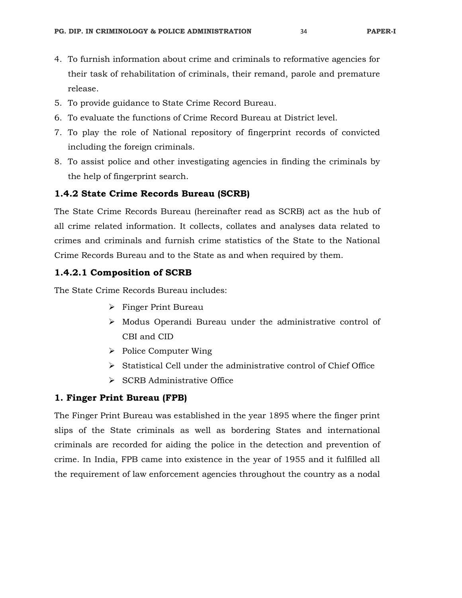- 4. To furnish information about crime and criminals to reformative agencies for their task of rehabilitation of criminals, their remand, parole and premature release.
- 5. To provide guidance to State Crime Record Bureau.
- 6. To evaluate the functions of Crime Record Bureau at District level.
- 7. To play the role of National repository of fingerprint records of convicted including the foreign criminals.
- 8. To assist police and other investigating agencies in finding the criminals by the help of fingerprint search.

## **1.4.2 State Crime Records Bureau (SCRB)**

The State Crime Records Bureau (hereinafter read as SCRB) act as the hub of all crime related information. It collects, collates and analyses data related to crimes and criminals and furnish crime statistics of the State to the National Crime Records Bureau and to the State as and when required by them.

## **1.4.2.1 Composition of SCRB**

The State Crime Records Bureau includes:

- > Finger Print Bureau
- $\triangleright$  Modus Operandi Bureau under the administrative control of CBI and CID
- $\triangleright$  Police Computer Wing
- $\triangleright$  Statistical Cell under the administrative control of Chief Office
- $\triangleright$  SCRB Administrative Office

## **1. Finger Print Bureau (FPB)**

The Finger Print Bureau was established in the year 1895 where the finger print slips of the State criminals as well as bordering States and international criminals are recorded for aiding the police in the detection and prevention of crime. In India, FPB came into existence in the year of 1955 and it fulfilled all the requirement of law enforcement agencies throughout the country as a nodal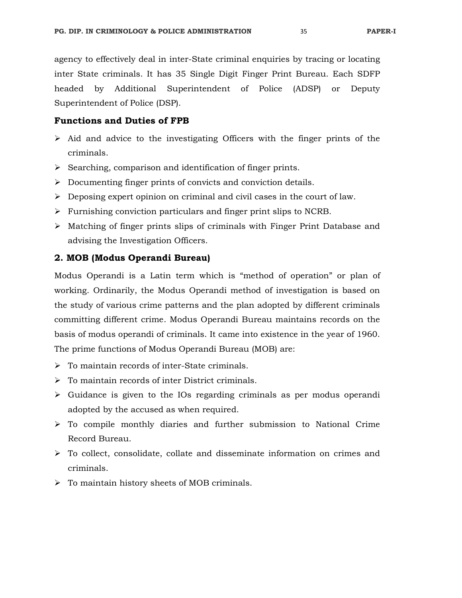agency to effectively deal in inter-State criminal enquiries by tracing or locating inter State criminals. It has 35 Single Digit Finger Print Bureau. Each SDFP headed by Additional Superintendent of Police (ADSP) or Deputy Superintendent of Police (DSP).

## **Functions and Duties of FPB**

- $\triangleright$  Aid and advice to the investigating Officers with the finger prints of the criminals.
- $\triangleright$  Searching, comparison and identification of finger prints.
- $\triangleright$  Documenting finger prints of convicts and conviction details.
- $\triangleright$  Deposing expert opinion on criminal and civil cases in the court of law.
- $\triangleright$  Furnishing conviction particulars and finger print slips to NCRB.
- $\triangleright$  Matching of finger prints slips of criminals with Finger Print Database and advising the Investigation Officers.

## **2. MOB (Modus Operandi Bureau)**

Modus Operandi is a Latin term which is "method of operation" or plan of working. Ordinarily, the Modus Operandi method of investigation is based on the study of various crime patterns and the plan adopted by different criminals committing different crime. Modus Operandi Bureau maintains records on the basis of modus operandi of criminals. It came into existence in the year of 1960. The prime functions of Modus Operandi Bureau (MOB) are:

- $\triangleright$  To maintain records of inter-State criminals.
- $\triangleright$  To maintain records of inter District criminals.
- $\triangleright$  Guidance is given to the IOs regarding criminals as per modus operandi adopted by the accused as when required.
- $\triangleright$  To compile monthly diaries and further submission to National Crime Record Bureau.
- $\triangleright$  To collect, consolidate, collate and disseminate information on crimes and criminals.
- $\triangleright$  To maintain history sheets of MOB criminals.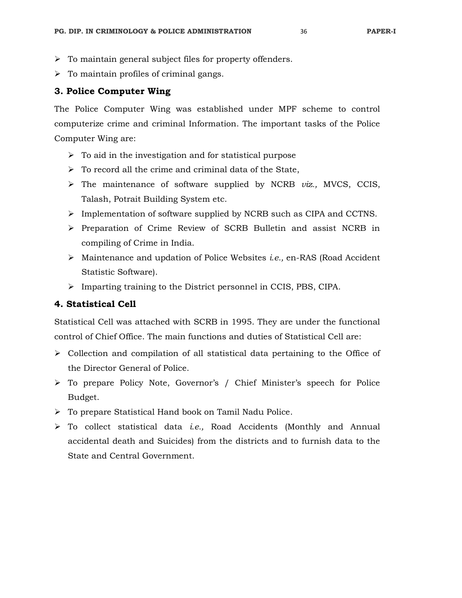- $\triangleright$  To maintain general subject files for property offenders.
- $\triangleright$  To maintain profiles of criminal gangs.

## **3. Police Computer Wing**

The Police Computer Wing was established under MPF scheme to control computerize crime and criminal Information. The important tasks of the Police Computer Wing are:

- $\triangleright$  To aid in the investigation and for statistical purpose
- $\triangleright$  To record all the crime and criminal data of the State,
- The maintenance of software supplied by NCRB *viz.,* MVCS, CCIS, Talash, Potrait Building System etc.
- $\triangleright$  Implementation of software supplied by NCRB such as CIPA and CCTNS.
- $\triangleright$  Preparation of Crime Review of SCRB Bulletin and assist NCRB in compiling of Crime in India.
- Maintenance and updation of Police Websites *i.e.,* en-RAS (Road Accident Statistic Software).
- Imparting training to the District personnel in CCIS, PBS, CIPA.

# **4. Statistical Cell**

Statistical Cell was attached with SCRB in 1995. They are under the functional control of Chief Office. The main functions and duties of Statistical Cell are:

- $\triangleright$  Collection and compilation of all statistical data pertaining to the Office of the Director General of Police.
- To prepare Policy Note, Governor's / Chief Minister's speech for Police Budget.
- To prepare Statistical Hand book on Tamil Nadu Police.
- To collect statistical data *i.e.,* Road Accidents (Monthly and Annual accidental death and Suicides) from the districts and to furnish data to the State and Central Government.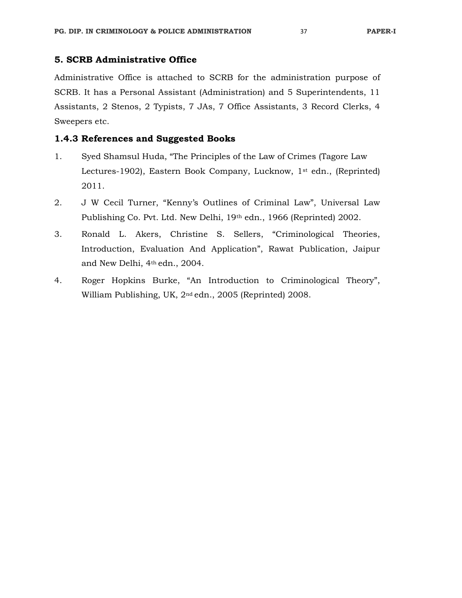# **5. SCRB Administrative Office**

Administrative Office is attached to SCRB for the administration purpose of SCRB. It has a Personal Assistant (Administration) and 5 Superintendents, 11 Assistants, 2 Stenos, 2 Typists, 7 JAs, 7 Office Assistants, 3 Record Clerks, 4 Sweepers etc.

## **1.4.3 References and Suggested Books**

- 1. Syed Shamsul Huda, "The Principles of the Law of Crimes (Tagore Law Lectures-1902), Eastern Book Company, Lucknow, 1st edn., (Reprinted) 2011.
- 2. J W Cecil Turner, "Kenny's Outlines of Criminal Law", Universal Law Publishing Co. Pvt. Ltd. New Delhi, 19th edn., 1966 (Reprinted) 2002.
- 3. Ronald L. Akers, Christine S. Sellers, "Criminological Theories, Introduction, Evaluation And Application", Rawat Publication, Jaipur and New Delhi, 4th edn., 2004.
- 4. Roger Hopkins Burke, "An Introduction to Criminological Theory", William Publishing, UK, 2nd edn., 2005 (Reprinted) 2008.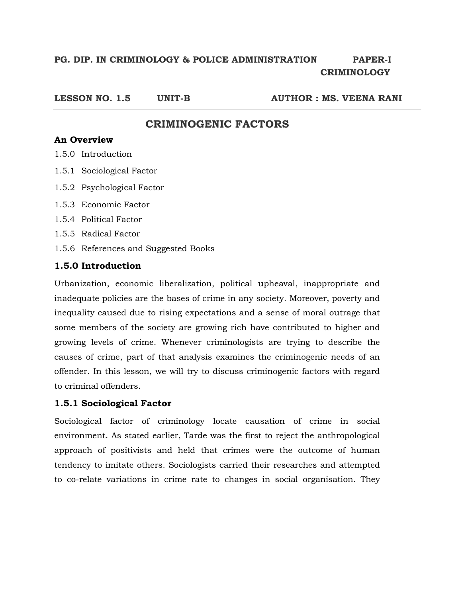# **PG. DIP. IN CRIMINOLOGY & POLICE ADMINISTRATION PAPER-I CRIMINOLOGY**

**LESSON NO. 1.5 UNIT-B AUTHOR : MS. VEENA RANI** 

# **CRIMINOGENIC FACTORS**

# **An Overview**

- 1.5.0 Introduction
- 1.5.1 Sociological Factor
- 1.5.2 Psychological Factor
- 1.5.3 Economic Factor
- 1.5.4 Political Factor
- 1.5.5 Radical Factor
- 1.5.6 References and Suggested Books

# **1.5.0 Introduction**

Urbanization, economic liberalization, political upheaval, inappropriate and inadequate policies are the bases of crime in any society. Moreover, poverty and inequality caused due to rising expectations and a sense of moral outrage that some members of the society are growing rich have contributed to higher and growing levels of crime. Whenever criminologists are trying to describe the causes of crime, part of that analysis examines the criminogenic needs of an offender. In this lesson, we will try to discuss criminogenic factors with regard to criminal offenders.

# **1.5.1 Sociological Factor**

Sociological factor of criminology locate causation of crime in social environment. As stated earlier, Tarde was the first to reject the anthropological approach of positivists and held that crimes were the outcome of human tendency to imitate others. Sociologists carried their researches and attempted to co-relate variations in crime rate to changes in social organisation. They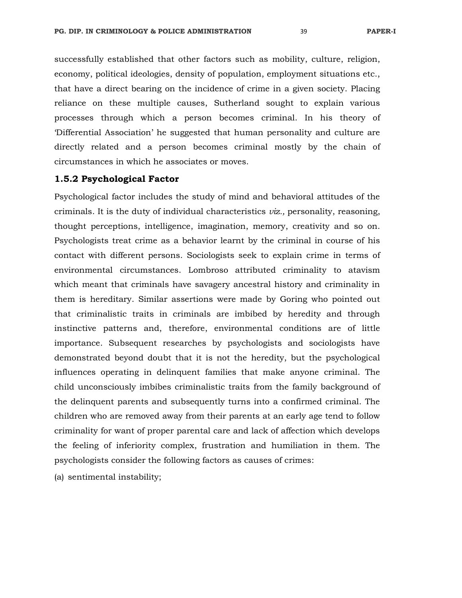successfully established that other factors such as mobility, culture, religion, economy, political ideologies, density of population, employment situations etc., that have a direct bearing on the incidence of crime in a given society. Placing reliance on these multiple causes, Sutherland sought to explain various processes through which a person becomes criminal. In his theory of 'Differential Association' he suggested that human personality and culture are directly related and a person becomes criminal mostly by the chain of circumstances in which he associates or moves.

#### **1.5.2 Psychological Factor**

Psychological factor includes the study of mind and behavioral attitudes of the criminals. It is the duty of individual characteristics *viz.,* personality, reasoning, thought perceptions, intelligence, imagination, memory, creativity and so on. Psychologists treat crime as a behavior learnt by the criminal in course of his contact with different persons. Sociologists seek to explain crime in terms of environmental circumstances. Lombroso attributed criminality to atavism which meant that criminals have savagery ancestral history and criminality in them is hereditary. Similar assertions were made by Goring who pointed out that criminalistic traits in criminals are imbibed by heredity and through instinctive patterns and, therefore, environmental conditions are of little importance. Subsequent researches by psychologists and sociologists have demonstrated beyond doubt that it is not the heredity, but the psychological influences operating in delinquent families that make anyone criminal. The child unconsciously imbibes criminalistic traits from the family background of the delinquent parents and subsequently turns into a confirmed criminal. The children who are removed away from their parents at an early age tend to follow criminality for want of proper parental care and lack of affection which develops the feeling of inferiority complex, frustration and humiliation in them. The psychologists consider the following factors as causes of crimes:

(a) sentimental instability;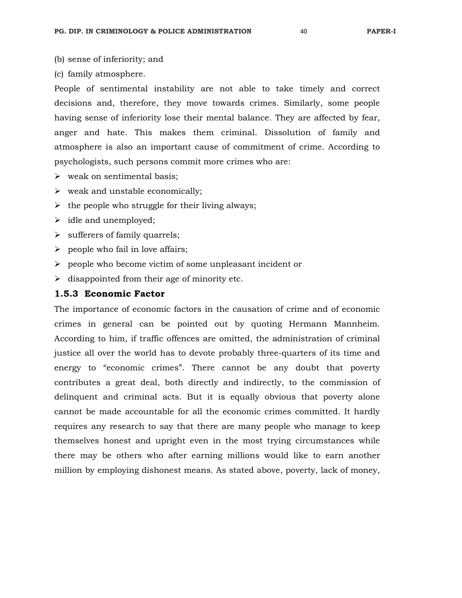- (b) sense of inferiority; and
- (c) family atmosphere.

People of sentimental instability are not able to take timely and correct decisions and, therefore, they move towards crimes. Similarly, some people having sense of inferiority lose their mental balance. They are affected by fear, anger and hate. This makes them criminal. Dissolution of family and atmosphere is also an important cause of commitment of crime. According to psychologists, such persons commit more crimes who are:

- $\triangleright$  weak on sentimental basis:
- $\triangleright$  weak and unstable economically;
- $\triangleright$  the people who struggle for their living always;
- $\triangleright$  idle and unemployed;
- $\triangleright$  sufferers of family quarrels;
- $\triangleright$  people who fail in love affairs;
- $\triangleright$  people who become victim of some unpleasant incident or
- $\triangleright$  disappointed from their age of minority etc.

#### **1.5.3 Economic Factor**

The importance of economic factors in the causation of crime and of economic crimes in general can be pointed out by quoting Hermann Mannheim. According to him, if traffic offences are omitted, the administration of criminal justice all over the world has to devote probably three-quarters of its time and energy to "economic crimes". There cannot be any doubt that poverty contributes a great deal, both directly and indirectly, to the commission of delinquent and criminal acts. But it is equally obvious that poverty alone cannot be made accountable for all the economic crimes committed. It hardly requires any research to say that there are many people who manage to keep themselves honest and upright even in the most trying circumstances while there may be others who after earning millions would like to earn another million by employing dishonest means. As stated above, poverty, lack of money,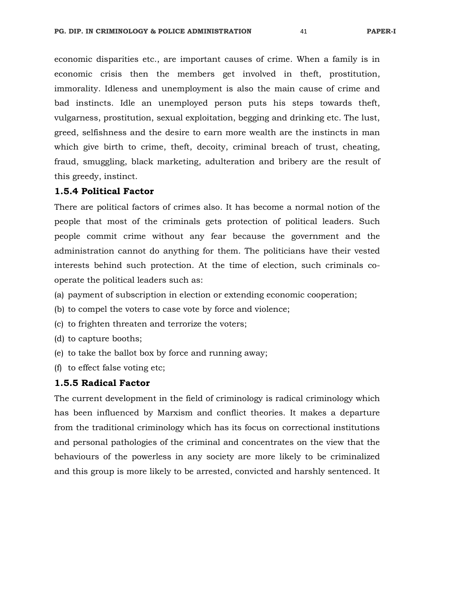economic disparities etc., are important causes of crime. When a family is in economic crisis then the members get involved in theft, prostitution, immorality. Idleness and unemployment is also the main cause of crime and bad instincts. Idle an unemployed person puts his steps towards theft, vulgarness, prostitution, sexual exploitation, begging and drinking etc. The lust, greed, selfishness and the desire to earn more wealth are the instincts in man which give birth to crime, theft, decoity, criminal breach of trust, cheating, fraud, smuggling, black marketing, adulteration and bribery are the result of this greedy, instinct.

#### **1.5.4 Political Factor**

There are political factors of crimes also. It has become a normal notion of the people that most of the criminals gets protection of political leaders. Such people commit crime without any fear because the government and the administration cannot do anything for them. The politicians have their vested interests behind such protection. At the time of election, such criminals cooperate the political leaders such as:

- (a) payment of subscription in election or extending economic cooperation;
- (b) to compel the voters to case vote by force and violence;
- (c) to frighten threaten and terrorize the voters;
- (d) to capture booths;
- (e) to take the ballot box by force and running away;
- (f) to effect false voting etc;

#### **1.5.5 Radical Factor**

The current development in the field of criminology is radical criminology which has been influenced by Marxism and conflict theories. It makes a departure from the traditional criminology which has its focus on correctional institutions and personal pathologies of the criminal and concentrates on the view that the behaviours of the powerless in any society are more likely to be criminalized and this group is more likely to be arrested, convicted and harshly sentenced. It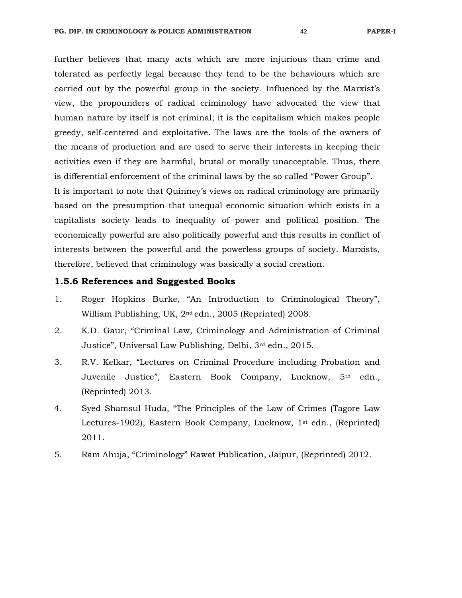further believes that many acts which are more injurious than crime and tolerated as perfectly legal because they tend to be the behaviours which are carried out by the powerful group in the society. Influenced by the Marxist's view, the propounders of radical criminology have advocated the view that human nature by itself is not criminal; it is the capitalism which makes people greedy, self-centered and exploitative. The laws are the tools of the owners of the means of production and are used to serve their interests in keeping their activities even if they are harmful, brutal or morally unacceptable. Thus, there is differential enforcement of the criminal laws by the so called "Power Group". It is important to note that Quinney's views on radical criminology are primarily based on the presumption that unequal economic situation which exists in a capitalists society leads to inequality of power and political position. The economically powerful are also politically powerful and this results in conflict of interests between the powerful and the powerless groups of society. Marxists,

# therefore, believed that criminology was basically a social creation.

## **1.5.6 References and Suggested Books**

- 1. Roger Hopkins Burke, "An Introduction to Criminological Theory", William Publishing, UK, 2nd edn., 2005 (Reprinted) 2008.
- 2. K.D. Gaur, "Criminal Law, Criminology and Administration of Criminal Justice", Universal Law Publishing, Delhi, 3rd edn., 2015.
- 3. R.V. Kelkar, "Lectures on Criminal Procedure including Probation and Juvenile Justice", Eastern Book Company, Lucknow, 5th edn., (Reprinted) 2013.
- 4. Syed Shamsul Huda, "The Principles of the Law of Crimes (Tagore Law Lectures-1902), Eastern Book Company, Lucknow, 1<sup>st</sup> edn., (Reprinted) 2011.
- 5. Ram Ahuja, "Criminology" Rawat Publication, Jaipur, (Reprinted) 2012.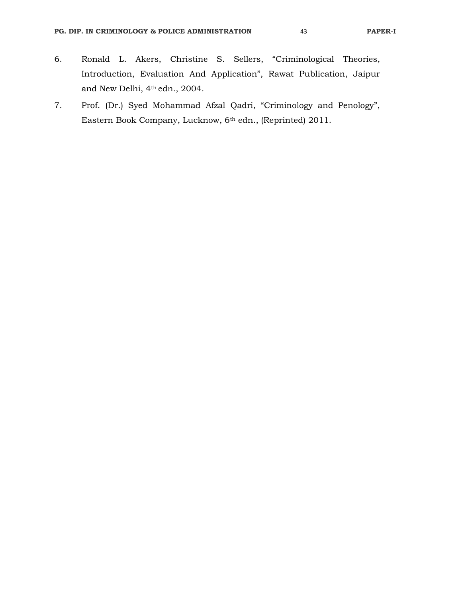- 6. Ronald L. Akers, Christine S. Sellers, "Criminological Theories, Introduction, Evaluation And Application", Rawat Publication, Jaipur and New Delhi, 4th edn., 2004.
- 7. Prof. (Dr.) Syed Mohammad Afzal Qadri, "Criminology and Penology", Eastern Book Company, Lucknow, 6th edn., (Reprinted) 2011.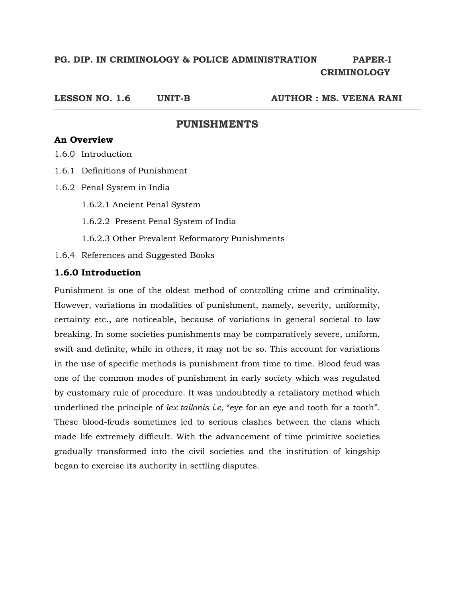**LESSON NO. 1.6 UNIT-B AUTHOR : MS. VEENA RANI** 

## **PUNISHMENTS**

# **An Overview**

1.6.0 Introduction

- 1.6.1 Definitions of Punishment
- 1.6.2 Penal System in India
	- 1.6.2.1 Ancient Penal System
	- 1.6.2.2 Present Penal System of India
	- 1.6.2.3 Other Prevalent Reformatory Punishments
- 1.6.4 References and Suggested Books

## **1.6.0 Introduction**

Punishment is one of the oldest method of controlling crime and criminality. However, variations in modalities of punishment, namely, severity, uniformity, certainty etc., are noticeable, because of variations in general societal to law breaking. In some societies punishments may be comparatively severe, uniform, swift and definite, while in others, it may not be so. This account for variations in the use of specific methods is punishment from time to time. Blood feud was one of the common modes of punishment in early society which was regulated by customary rule of procedure. It was undoubtedly a retaliatory method which underlined the principle of *lex tailonis i.e,* "eye for an eye and tooth for a tooth". These blood-feuds sometimes led to serious clashes between the clans which made life extremely difficult. With the advancement of time primitive societies gradually transformed into the civil societies and the institution of kingship began to exercise its authority in settling disputes.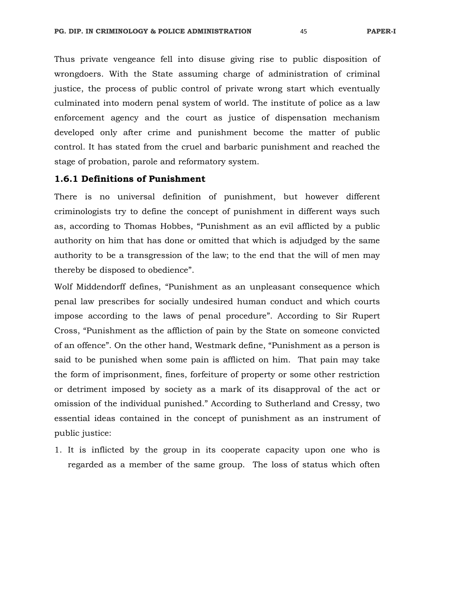Thus private vengeance fell into disuse giving rise to public disposition of wrongdoers. With the State assuming charge of administration of criminal justice, the process of public control of private wrong start which eventually culminated into modern penal system of world. The institute of police as a law enforcement agency and the court as justice of dispensation mechanism developed only after crime and punishment become the matter of public control. It has stated from the cruel and barbaric punishment and reached the stage of probation, parole and reformatory system.

### **1.6.1 Definitions of Punishment**

There is no universal definition of punishment, but however different criminologists try to define the concept of punishment in different ways such as, according to Thomas Hobbes, "Punishment as an evil afflicted by a public authority on him that has done or omitted that which is adjudged by the same authority to be a transgression of the law; to the end that the will of men may thereby be disposed to obedience".

Wolf Middendorff defines, "Punishment as an unpleasant consequence which penal law prescribes for socially undesired human conduct and which courts impose according to the laws of penal procedure". According to Sir Rupert Cross, "Punishment as the affliction of pain by the State on someone convicted of an offence". On the other hand, Westmark define, "Punishment as a person is said to be punished when some pain is afflicted on him. That pain may take the form of imprisonment, fines, forfeiture of property or some other restriction or detriment imposed by society as a mark of its disapproval of the act or omission of the individual punished." According to Sutherland and Cressy, two essential ideas contained in the concept of punishment as an instrument of public justice:

1. It is inflicted by the group in its cooperate capacity upon one who is regarded as a member of the same group. The loss of status which often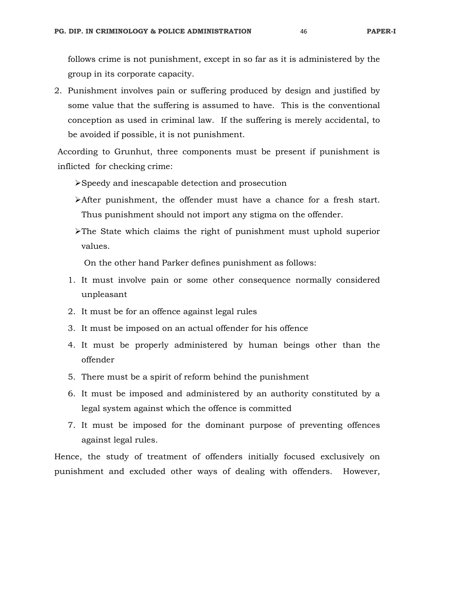follows crime is not punishment, except in so far as it is administered by the group in its corporate capacity.

2. Punishment involves pain or suffering produced by design and justified by some value that the suffering is assumed to have. This is the conventional conception as used in criminal law. If the suffering is merely accidental, to be avoided if possible, it is not punishment.

 According to Grunhut, three components must be present if punishment is inflicted for checking crime:

- Speedy and inescapable detection and prosecution
- After punishment, the offender must have a chance for a fresh start. Thus punishment should not import any stigma on the offender.
- $\triangleright$  The State which claims the right of punishment must uphold superior values.

On the other hand Parker defines punishment as follows:

- 1. It must involve pain or some other consequence normally considered unpleasant
- 2. It must be for an offence against legal rules
- 3. It must be imposed on an actual offender for his offence
- 4. It must be properly administered by human beings other than the offender
- 5. There must be a spirit of reform behind the punishment
- 6. It must be imposed and administered by an authority constituted by a legal system against which the offence is committed
- 7. It must be imposed for the dominant purpose of preventing offences against legal rules.

Hence, the study of treatment of offenders initially focused exclusively on punishment and excluded other ways of dealing with offenders. However,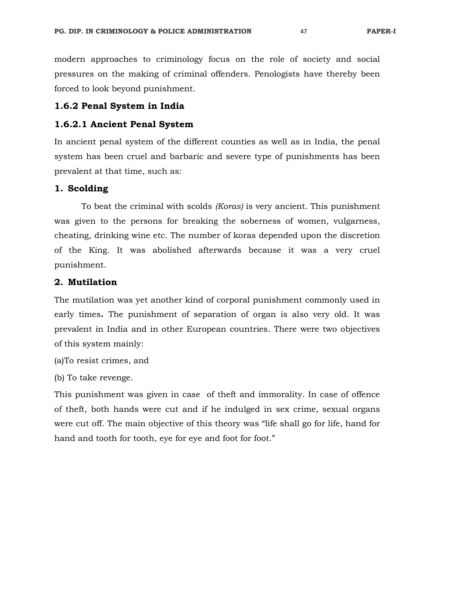modern approaches to criminology focus on the role of society and social pressures on the making of criminal offenders. Penologists have thereby been forced to look beyond punishment.

## **1.6.2 Penal System in India**

#### **1.6.2.1 Ancient Penal System**

In ancient penal system of the different counties as well as in India, the penal system has been cruel and barbaric and severe type of punishments has been prevalent at that time, such as:

### **1. Scolding**

 To beat the criminal with scolds *(Koras)* is very ancient. This punishment was given to the persons for breaking the soberness of women, vulgarness, cheating, drinking wine etc. The number of koras depended upon the discretion of the King. It was abolished afterwards because it was a very cruel punishment.

#### **2. Mutilation**

The mutilation was yet another kind of corporal punishment commonly used in early times**.** The punishment of separation of organ is also very old. It was prevalent in India and in other European countries. There were two objectives of this system mainly:

(a)To resist crimes, and

(b) To take revenge.

This punishment was given in case of theft and immorality. In case of offence of theft, both hands were cut and if he indulged in sex crime, sexual organs were cut off. The main objective of this theory was "life shall go for life, hand for hand and tooth for tooth, eye for eye and foot for foot."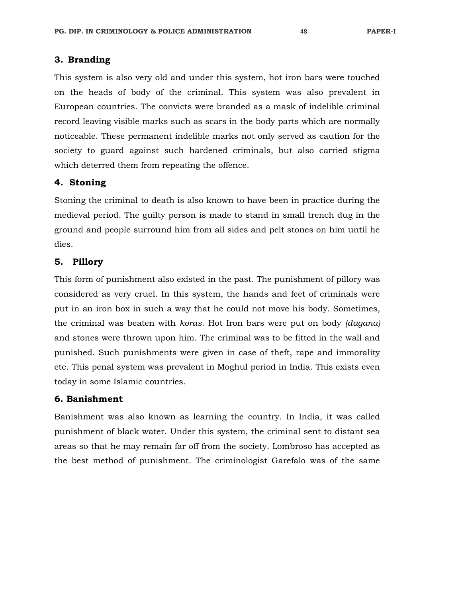### **3. Branding**

This system is also very old and under this system, hot iron bars were touched on the heads of body of the criminal. This system was also prevalent in European countries. The convicts were branded as a mask of indelible criminal record leaving visible marks such as scars in the body parts which are normally noticeable. These permanent indelible marks not only served as caution for the society to guard against such hardened criminals, but also carried stigma which deterred them from repeating the offence.

# **4. Stoning**

Stoning the criminal to death is also known to have been in practice during the medieval period. The guilty person is made to stand in small trench dug in the ground and people surround him from all sides and pelt stones on him until he dies.

## **5. Pillory**

This form of punishment also existed in the past. The punishment of pillory was considered as very cruel. In this system, the hands and feet of criminals were put in an iron box in such a way that he could not move his body. Sometimes, the criminal was beaten with *koras*. Hot Iron bars were put on body *(dagana)* and stones were thrown upon him. The criminal was to be fitted in the wall and punished. Such punishments were given in case of theft, rape and immorality etc. This penal system was prevalent in Moghul period in India. This exists even today in some Islamic countries.

## **6. Banishment**

Banishment was also known as learning the country. In India, it was called punishment of black water. Under this system, the criminal sent to distant sea areas so that he may remain far off from the society. Lombroso has accepted as the best method of punishment. The criminologist Garefalo was of the same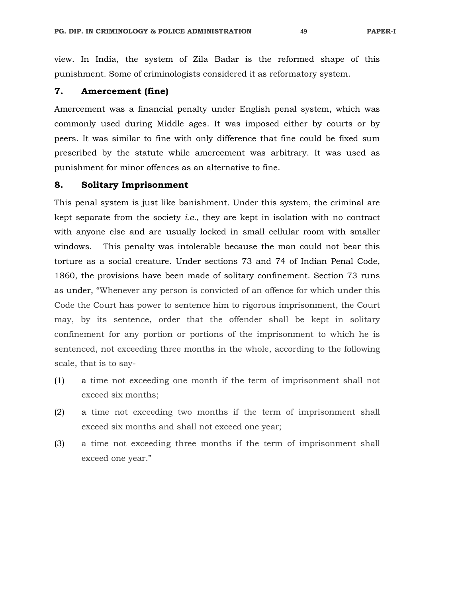view. In India, the system of Zila Badar is the reformed shape of this punishment. Some of criminologists considered it as reformatory system.

# **7. Amercement (fine)**

Amercement was a financial penalty under English penal system, which was commonly used during Middle ages. It was imposed either by courts or by peers. It was similar to fine with only difference that fine could be fixed sum prescribed by the statute while amercement was arbitrary. It was used as punishment for minor offences as an alternative to fine.

#### **8. Solitary Imprisonment**

This penal system is just like banishment. Under this system, the criminal are kept separate from the society *i.e.,* they are kept in isolation with no contract with anyone else and are usually locked in small cellular room with smaller windows. This penalty was intolerable because the man could not bear this torture as a social creature. Under sections 73 and 74 of Indian Penal Code, 1860, the provisions have been made of solitary confinement. Section 73 runs as under, "Whenever any person is convicted of an offence for which under this Code the Court has power to sentence him to rigorous imprisonment, the Court may, by its sentence, order that the offender shall be kept in solitary confinement for any portion or portions of the imprisonment to which he is sentenced, not exceeding three months in the whole, according to the following scale, that is to say-

- (1) a time not exceeding one month if the term of imprisonment shall not exceed six months;
- (2) a time not exceeding two months if the term of imprisonment shall exceed six months and shall not exceed one year;
- (3) a time not exceeding three months if the term of imprisonment shall exceed one year."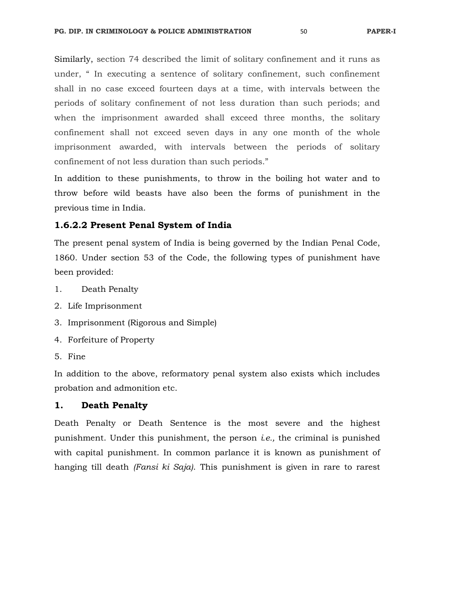Similarly, section 74 described the limit of solitary confinement and it runs as under, " In executing a sentence of solitary confinement, such confinement shall in no case exceed fourteen days at a time, with intervals between the periods of solitary confinement of not less duration than such periods; and when the imprisonment awarded shall exceed three months, the solitary confinement shall not exceed seven days in any one month of the whole imprisonment awarded, with intervals between the periods of solitary confinement of not less duration than such periods."

In addition to these punishments, to throw in the boiling hot water and to throw before wild beasts have also been the forms of punishment in the previous time in India.

## **1.6.2.2 Present Penal System of India**

The present penal system of India is being governed by the Indian Penal Code, 1860. Under section 53 of the Code, the following types of punishment have been provided:

- 1. Death Penalty
- 2. Life Imprisonment
- 3. Imprisonment (Rigorous and Simple)
- 4. Forfeiture of Property
- 5. Fine

In addition to the above, reformatory penal system also exists which includes probation and admonition etc.

## **1. Death Penalty**

Death Penalty or Death Sentence is the most severe and the highest punishment. Under this punishment, the person *i.e.,* the criminal is punished with capital punishment. In common parlance it is known as punishment of hanging till death *(Fansi ki Saja)*. This punishment is given in rare to rarest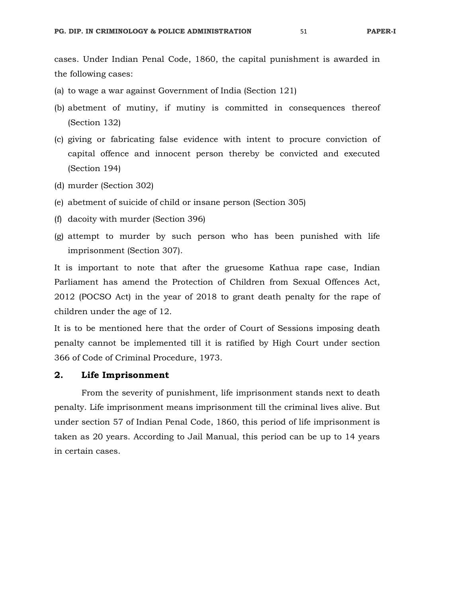cases. Under Indian Penal Code, 1860, the capital punishment is awarded in the following cases:

- (a) to wage a war against Government of India (Section 121)
- (b) abetment of mutiny, if mutiny is committed in consequences thereof (Section 132)
- (c) giving or fabricating false evidence with intent to procure conviction of capital offence and innocent person thereby be convicted and executed (Section 194)
- (d) murder (Section 302)
- (e) abetment of suicide of child or insane person (Section 305)
- (f) dacoity with murder (Section 396)
- (g) attempt to murder by such person who has been punished with life imprisonment (Section 307).

It is important to note that after the gruesome Kathua rape case, Indian Parliament has amend the Protection of Children from Sexual Offences Act, 2012 (POCSO Act) in the year of 2018 to grant death penalty for the rape of children under the age of 12.

It is to be mentioned here that the order of Court of Sessions imposing death penalty cannot be implemented till it is ratified by High Court under section 366 of Code of Criminal Procedure, 1973.

### **2. Life Imprisonment**

 From the severity of punishment, life imprisonment stands next to death penalty. Life imprisonment means imprisonment till the criminal lives alive. But under section 57 of Indian Penal Code, 1860, this period of life imprisonment is taken as 20 years. According to Jail Manual, this period can be up to 14 years in certain cases.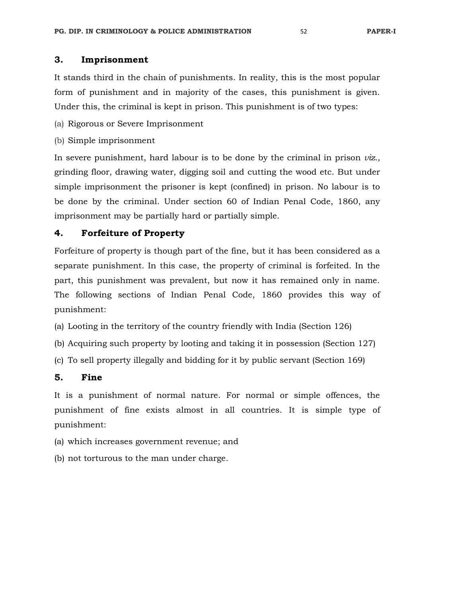# **3. Imprisonment**

It stands third in the chain of punishments. In reality, this is the most popular form of punishment and in majority of the cases, this punishment is given. Under this, the criminal is kept in prison. This punishment is of two types:

- (a) Rigorous or Severe Imprisonment
- (b) Simple imprisonment

In severe punishment, hard labour is to be done by the criminal in prison *viz.,*  grinding floor, drawing water, digging soil and cutting the wood etc. But under simple imprisonment the prisoner is kept (confined) in prison. No labour is to be done by the criminal. Under section 60 of Indian Penal Code, 1860, any imprisonment may be partially hard or partially simple.

# **4. Forfeiture of Property**

Forfeiture of property is though part of the fine, but it has been considered as a separate punishment. In this case, the property of criminal is forfeited. In the part, this punishment was prevalent, but now it has remained only in name. The following sections of Indian Penal Code, 1860 provides this way of punishment:

- (a) Looting in the territory of the country friendly with India (Section 126)
- (b) Acquiring such property by looting and taking it in possession (Section 127)
- (c) To sell property illegally and bidding for it by public servant (Section 169)

## **5. Fine**

It is a punishment of normal nature. For normal or simple offences, the punishment of fine exists almost in all countries. It is simple type of punishment:

- (a) which increases government revenue; and
- (b) not torturous to the man under charge.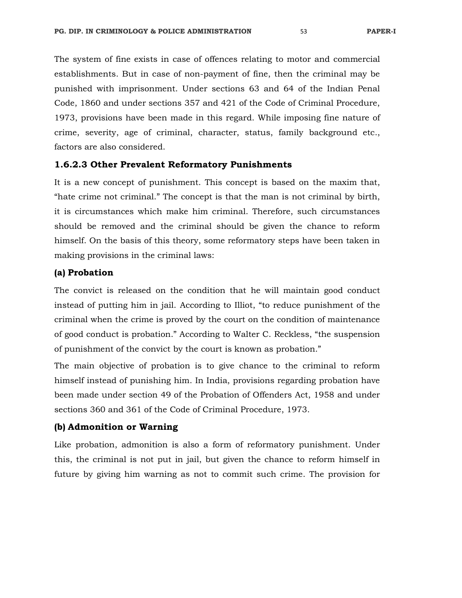The system of fine exists in case of offences relating to motor and commercial establishments. But in case of non-payment of fine, then the criminal may be punished with imprisonment. Under sections 63 and 64 of the Indian Penal Code, 1860 and under sections 357 and 421 of the Code of Criminal Procedure, 1973, provisions have been made in this regard. While imposing fine nature of crime, severity, age of criminal, character, status, family background etc., factors are also considered.

## **1.6.2.3 Other Prevalent Reformatory Punishments**

It is a new concept of punishment. This concept is based on the maxim that, "hate crime not criminal." The concept is that the man is not criminal by birth, it is circumstances which make him criminal. Therefore, such circumstances should be removed and the criminal should be given the chance to reform himself. On the basis of this theory, some reformatory steps have been taken in making provisions in the criminal laws:

## **(a) Probation**

The convict is released on the condition that he will maintain good conduct instead of putting him in jail. According to Illiot, "to reduce punishment of the criminal when the crime is proved by the court on the condition of maintenance of good conduct is probation." According to Walter C. Reckless, "the suspension of punishment of the convict by the court is known as probation."

The main objective of probation is to give chance to the criminal to reform himself instead of punishing him. In India, provisions regarding probation have been made under section 49 of the Probation of Offenders Act, 1958 and under sections 360 and 361 of the Code of Criminal Procedure, 1973.

## **(b) Admonition or Warning**

Like probation, admonition is also a form of reformatory punishment. Under this, the criminal is not put in jail, but given the chance to reform himself in future by giving him warning as not to commit such crime. The provision for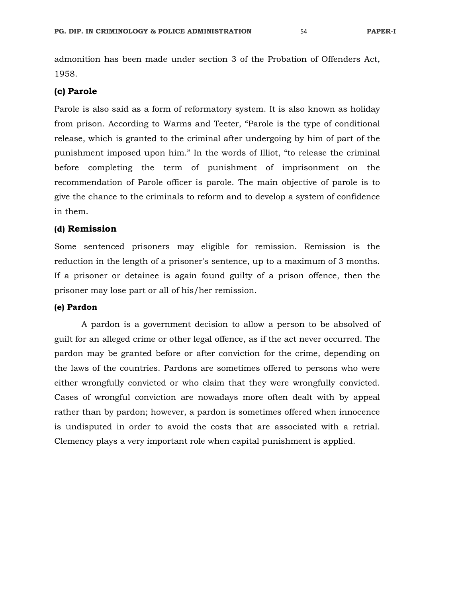admonition has been made under section 3 of the Probation of Offenders Act, 1958.

## **(c) Parole**

Parole is also said as a form of reformatory system. It is also known as holiday from prison. According to Warms and Teeter, "Parole is the type of conditional release, which is granted to the criminal after undergoing by him of part of the punishment imposed upon him." In the words of Illiot, "to release the criminal before completing the term of punishment of imprisonment on the recommendation of Parole officer is parole. The main objective of parole is to give the chance to the criminals to reform and to develop a system of confidence in them.

## **(d) Remission**

Some sentenced prisoners may eligible for remission. Remission is the reduction in the length of a prisoner's sentence, up to a maximum of 3 months. If a prisoner or detainee is again found guilty of a prison offence, then the prisoner may lose part or all of his/her remission.

#### **(e) Pardon**

A pardon is a government decision to allow a person to be absolved of guilt for an alleged crime or other legal offence, as if the act never occurred. The pardon may be granted before or after conviction for the crime, depending on the laws of the countries. Pardons are sometimes offered to persons who were either wrongfully convicted or who claim that they were wrongfully convicted. Cases of wrongful conviction are nowadays more often dealt with by appeal rather than by pardon; however, a pardon is sometimes offered when innocence is undisputed in order to avoid the costs that are associated with a retrial. Clemency plays a very important role when capital punishment is applied.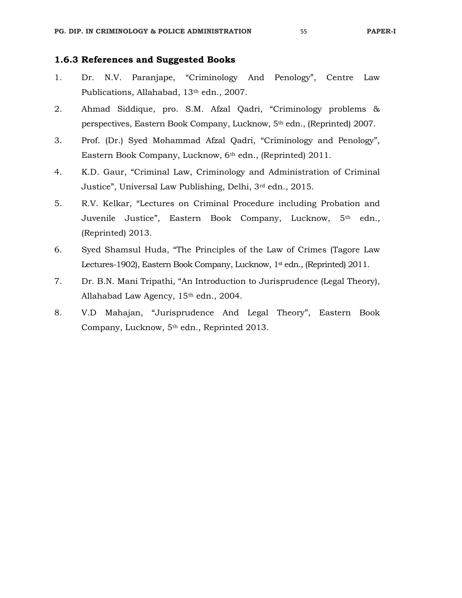# **1.6.3 References and Suggested Books**

- 1. Dr. N.V. Paranjape, "Criminology And Penology", Centre Law Publications, Allahabad, 13th edn., 2007.
- 2. Ahmad Siddique, pro. S.M. Afzal Qadri, "Criminology problems & perspectives, Eastern Book Company, Lucknow, 5th edn., (Reprinted) 2007.
- 3. Prof. (Dr.) Syed Mohammad Afzal Qadri, "Criminology and Penology", Eastern Book Company, Lucknow, 6th edn., (Reprinted) 2011.
- 4. K.D. Gaur, "Criminal Law, Criminology and Administration of Criminal Justice", Universal Law Publishing, Delhi, 3rd edn., 2015.
- 5. R.V. Kelkar, "Lectures on Criminal Procedure including Probation and Juvenile Justice", Eastern Book Company, Lucknow, 5<sup>th</sup> edn., (Reprinted) 2013.
- 6. Syed Shamsul Huda, "The Principles of the Law of Crimes (Tagore Law Lectures-1902), Eastern Book Company, Lucknow, 1<sup>st</sup> edn., (Reprinted) 2011.
- 7. Dr. B.N. Mani Tripathi, "An Introduction to Jurisprudence (Legal Theory), Allahabad Law Agency, 15<sup>th</sup> edn., 2004.
- 8. V.D Mahajan, "Jurisprudence And Legal Theory", Eastern Book Company, Lucknow, 5th edn., Reprinted 2013.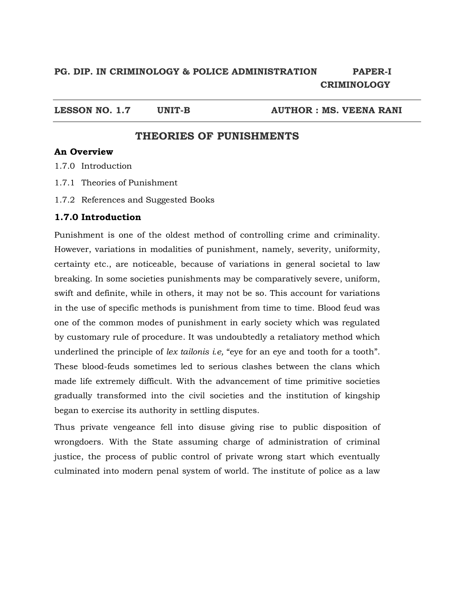# **PG. DIP. IN CRIMINOLOGY & POLICE ADMINISTRATION PAPER-I CRIMINOLOGY**

LESSON NO. 1.7 UNIT-B AUTHOR : MS. VEENA RANI

# **THEORIES OF PUNISHMENTS**

# **An Overview**

1.7.0 Introduction

- 1.7.1 Theories of Punishment
- 1.7.2 References and Suggested Books

# **1.7.0 Introduction**

Punishment is one of the oldest method of controlling crime and criminality. However, variations in modalities of punishment, namely, severity, uniformity, certainty etc., are noticeable, because of variations in general societal to law breaking. In some societies punishments may be comparatively severe, uniform, swift and definite, while in others, it may not be so. This account for variations in the use of specific methods is punishment from time to time. Blood feud was one of the common modes of punishment in early society which was regulated by customary rule of procedure. It was undoubtedly a retaliatory method which underlined the principle of *lex tailonis i.e,* "eye for an eye and tooth for a tooth". These blood-feuds sometimes led to serious clashes between the clans which made life extremely difficult. With the advancement of time primitive societies gradually transformed into the civil societies and the institution of kingship began to exercise its authority in settling disputes.

Thus private vengeance fell into disuse giving rise to public disposition of wrongdoers. With the State assuming charge of administration of criminal justice, the process of public control of private wrong start which eventually culminated into modern penal system of world. The institute of police as a law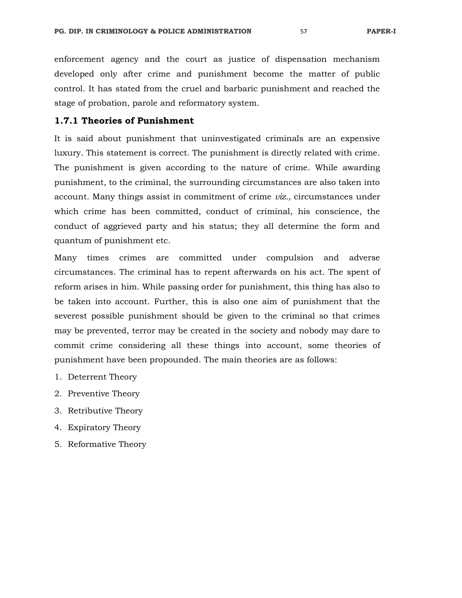enforcement agency and the court as justice of dispensation mechanism developed only after crime and punishment become the matter of public control. It has stated from the cruel and barbaric punishment and reached the stage of probation, parole and reformatory system.

## **1.7.1 Theories of Punishment**

It is said about punishment that uninvestigated criminals are an expensive luxury. This statement is correct. The punishment is directly related with crime. The punishment is given according to the nature of crime. While awarding punishment, to the criminal, the surrounding circumstances are also taken into account. Many things assist in commitment of crime *viz.,* circumstances under which crime has been committed, conduct of criminal, his conscience, the conduct of aggrieved party and his status; they all determine the form and quantum of punishment etc.

Many times crimes are committed under compulsion and adverse circumstances. The criminal has to repent afterwards on his act. The spent of reform arises in him. While passing order for punishment, this thing has also to be taken into account. Further, this is also one aim of punishment that the severest possible punishment should be given to the criminal so that crimes may be prevented, terror may be created in the society and nobody may dare to commit crime considering all these things into account, some theories of punishment have been propounded. The main theories are as follows:

- 1. Deterrent Theory
- 2. Preventive Theory
- 3. Retributive Theory
- 4. Expiratory Theory
- 5. Reformative Theory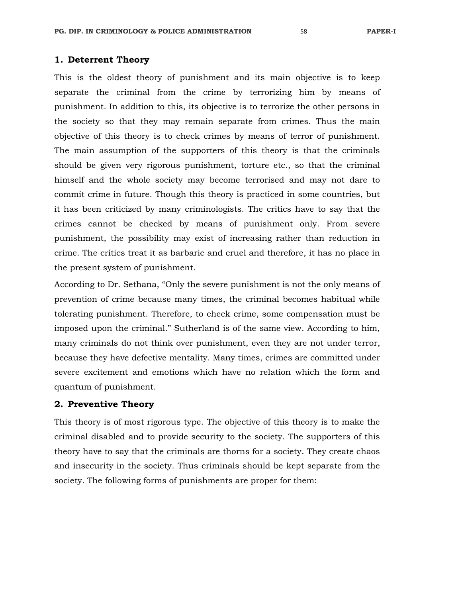## **1. Deterrent Theory**

This is the oldest theory of punishment and its main objective is to keep separate the criminal from the crime by terrorizing him by means of punishment. In addition to this, its objective is to terrorize the other persons in the society so that they may remain separate from crimes. Thus the main objective of this theory is to check crimes by means of terror of punishment. The main assumption of the supporters of this theory is that the criminals should be given very rigorous punishment, torture etc., so that the criminal himself and the whole society may become terrorised and may not dare to commit crime in future. Though this theory is practiced in some countries, but it has been criticized by many criminologists. The critics have to say that the crimes cannot be checked by means of punishment only. From severe punishment, the possibility may exist of increasing rather than reduction in crime. The critics treat it as barbaric and cruel and therefore, it has no place in the present system of punishment.

According to Dr. Sethana, "Only the severe punishment is not the only means of prevention of crime because many times, the criminal becomes habitual while tolerating punishment. Therefore, to check crime, some compensation must be imposed upon the criminal." Sutherland is of the same view. According to him, many criminals do not think over punishment, even they are not under terror, because they have defective mentality. Many times, crimes are committed under severe excitement and emotions which have no relation which the form and quantum of punishment.

# **2. Preventive Theory**

This theory is of most rigorous type. The objective of this theory is to make the criminal disabled and to provide security to the society. The supporters of this theory have to say that the criminals are thorns for a society. They create chaos and insecurity in the society. Thus criminals should be kept separate from the society. The following forms of punishments are proper for them: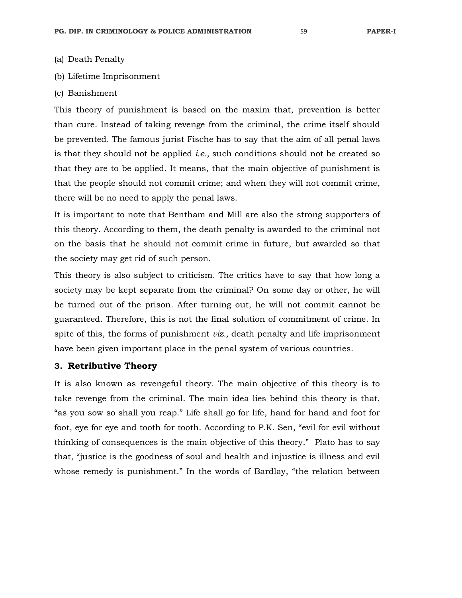- (a) Death Penalty
- (b) Lifetime Imprisonment
- (c) Banishment

This theory of punishment is based on the maxim that, prevention is better than cure. Instead of taking revenge from the criminal, the crime itself should be prevented. The famous jurist Fische has to say that the aim of all penal laws is that they should not be applied *i.e.,* such conditions should not be created so that they are to be applied. It means, that the main objective of punishment is that the people should not commit crime; and when they will not commit crime, there will be no need to apply the penal laws.

It is important to note that Bentham and Mill are also the strong supporters of this theory. According to them, the death penalty is awarded to the criminal not on the basis that he should not commit crime in future, but awarded so that the society may get rid of such person.

This theory is also subject to criticism. The critics have to say that how long a society may be kept separate from the criminal? On some day or other, he will be turned out of the prison. After turning out, he will not commit cannot be guaranteed. Therefore, this is not the final solution of commitment of crime. In spite of this, the forms of punishment *viz.,* death penalty and life imprisonment have been given important place in the penal system of various countries.

#### **3. Retributive Theory**

It is also known as revengeful theory. The main objective of this theory is to take revenge from the criminal. The main idea lies behind this theory is that, "as you sow so shall you reap." Life shall go for life, hand for hand and foot for foot, eye for eye and tooth for tooth. According to P.K. Sen, "evil for evil without thinking of consequences is the main objective of this theory." Plato has to say that, "justice is the goodness of soul and health and injustice is illness and evil whose remedy is punishment." In the words of Bardlay, "the relation between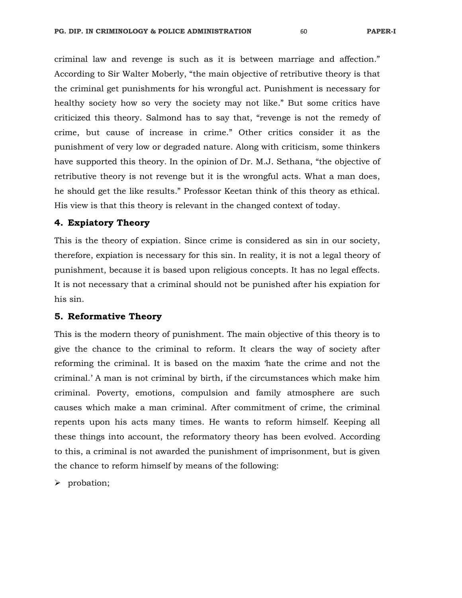criminal law and revenge is such as it is between marriage and affection." According to Sir Walter Moberly, "the main objective of retributive theory is that the criminal get punishments for his wrongful act. Punishment is necessary for healthy society how so very the society may not like." But some critics have criticized this theory. Salmond has to say that, "revenge is not the remedy of crime, but cause of increase in crime." Other critics consider it as the punishment of very low or degraded nature. Along with criticism, some thinkers have supported this theory. In the opinion of Dr. M.J. Sethana, "the objective of retributive theory is not revenge but it is the wrongful acts. What a man does, he should get the like results." Professor Keetan think of this theory as ethical. His view is that this theory is relevant in the changed context of today.

#### **4. Expiatory Theory**

This is the theory of expiation. Since crime is considered as sin in our society, therefore, expiation is necessary for this sin. In reality, it is not a legal theory of punishment, because it is based upon religious concepts. It has no legal effects. It is not necessary that a criminal should not be punished after his expiation for his sin.

#### **5. Reformative Theory**

This is the modern theory of punishment. The main objective of this theory is to give the chance to the criminal to reform. It clears the way of society after reforming the criminal. It is based on the maxim 'hate the crime and not the criminal.' A man is not criminal by birth, if the circumstances which make him criminal. Poverty, emotions, compulsion and family atmosphere are such causes which make a man criminal. After commitment of crime, the criminal repents upon his acts many times. He wants to reform himself. Keeping all these things into account, the reformatory theory has been evolved. According to this, a criminal is not awarded the punishment of imprisonment, but is given the chance to reform himself by means of the following:

 $\triangleright$  probation;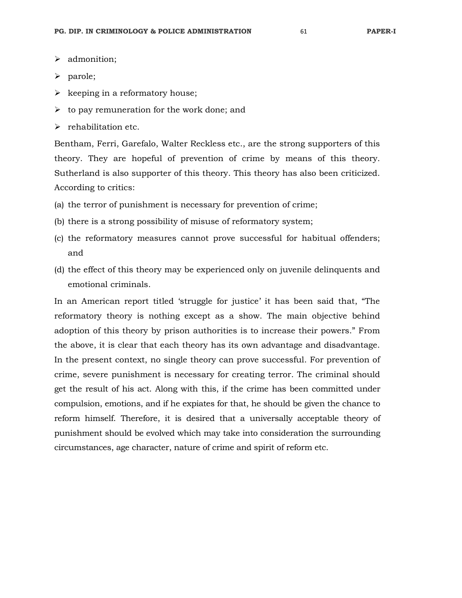- > admonition;
- $\triangleright$  parole;
- $\triangleright$  keeping in a reformatory house;
- $\triangleright$  to pay remuneration for the work done; and
- $\triangleright$  rehabilitation etc.

Bentham, Ferri, Garefalo, Walter Reckless etc., are the strong supporters of this theory. They are hopeful of prevention of crime by means of this theory. Sutherland is also supporter of this theory. This theory has also been criticized. According to critics:

- (a) the terror of punishment is necessary for prevention of crime;
- (b) there is a strong possibility of misuse of reformatory system;
- (c) the reformatory measures cannot prove successful for habitual offenders; and
- (d) the effect of this theory may be experienced only on juvenile delinquents and emotional criminals.

In an American report titled 'struggle for justice' it has been said that, "The reformatory theory is nothing except as a show. The main objective behind adoption of this theory by prison authorities is to increase their powers." From the above, it is clear that each theory has its own advantage and disadvantage. In the present context, no single theory can prove successful. For prevention of crime, severe punishment is necessary for creating terror. The criminal should get the result of his act. Along with this, if the crime has been committed under compulsion, emotions, and if he expiates for that, he should be given the chance to reform himself. Therefore, it is desired that a universally acceptable theory of punishment should be evolved which may take into consideration the surrounding circumstances, age character, nature of crime and spirit of reform etc.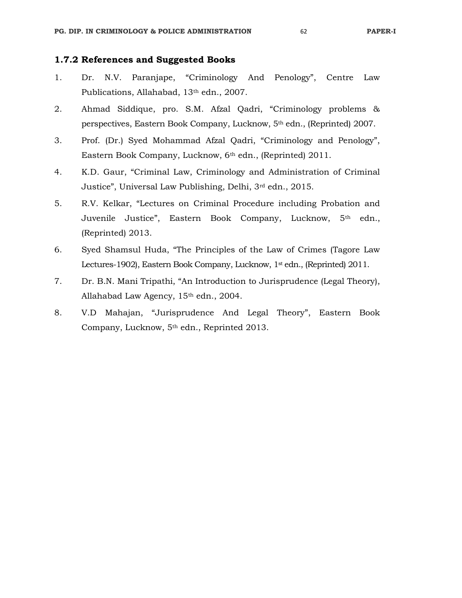# **1.7.2 References and Suggested Books**

- 1. Dr. N.V. Paranjape, "Criminology And Penology", Centre Law Publications, Allahabad, 13th edn., 2007.
- 2. Ahmad Siddique, pro. S.M. Afzal Qadri, "Criminology problems & perspectives, Eastern Book Company, Lucknow, 5th edn., (Reprinted) 2007.
- 3. Prof. (Dr.) Syed Mohammad Afzal Qadri, "Criminology and Penology", Eastern Book Company, Lucknow, 6th edn., (Reprinted) 2011.
- 4. K.D. Gaur, "Criminal Law, Criminology and Administration of Criminal Justice", Universal Law Publishing, Delhi, 3rd edn., 2015.
- 5. R.V. Kelkar, "Lectures on Criminal Procedure including Probation and Juvenile Justice", Eastern Book Company, Lucknow, 5<sup>th</sup> edn., (Reprinted) 2013.
- 6. Syed Shamsul Huda, "The Principles of the Law of Crimes (Tagore Law Lectures-1902), Eastern Book Company, Lucknow, 1<sup>st</sup> edn., (Reprinted) 2011.
- 7. Dr. B.N. Mani Tripathi, "An Introduction to Jurisprudence (Legal Theory), Allahabad Law Agency, 15<sup>th</sup> edn., 2004.
- 8. V.D Mahajan, "Jurisprudence And Legal Theory", Eastern Book Company, Lucknow, 5th edn., Reprinted 2013.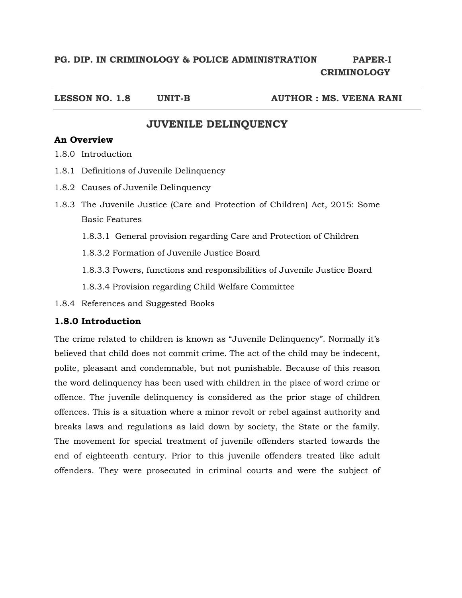# **PG. DIP. IN CRIMINOLOGY & POLICE ADMINISTRATION PAPER-I CRIMINOLOGY**

**LESSON NO. 1.8 UNIT-B AUTHOR : MS. VEENA RANI** 

# **JUVENILE DELINQUENCY**

# **An Overview**

- 1.8.0 Introduction
- 1.8.1 Definitions of Juvenile Delinquency
- 1.8.2 Causes of Juvenile Delinquency
- 1.8.3 The Juvenile Justice (Care and Protection of Children) Act, 2015: Some Basic Features
	- 1.8.3.1 General provision regarding Care and Protection of Children
	- 1.8.3.2 Formation of Juvenile Justice Board
	- 1.8.3.3 Powers, functions and responsibilities of Juvenile Justice Board

1.8.3.4 Provision regarding Child Welfare Committee

1.8.4 References and Suggested Books

# **1.8.0 Introduction**

The crime related to children is known as "Juvenile Delinquency". Normally it's believed that child does not commit crime. The act of the child may be indecent, polite, pleasant and condemnable, but not punishable. Because of this reason the word delinquency has been used with children in the place of word crime or offence. The juvenile delinquency is considered as the prior stage of children offences. This is a situation where a minor revolt or rebel against authority and breaks laws and regulations as laid down by society, the State or the family. The movement for special treatment of juvenile offenders started towards the end of eighteenth century. Prior to this juvenile offenders treated like adult offenders. They were prosecuted in criminal courts and were the subject of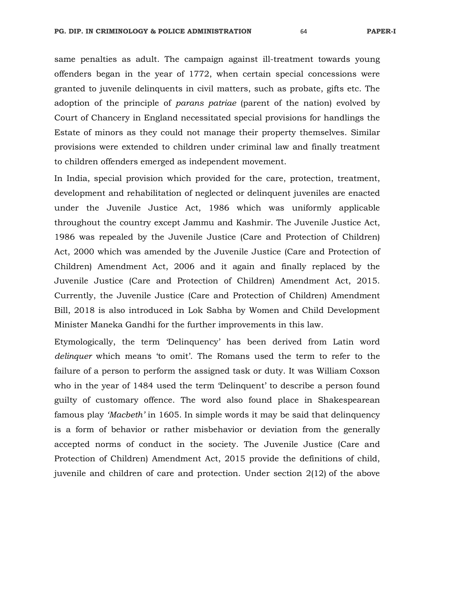same penalties as adult. The campaign against ill-treatment towards young offenders began in the year of 1772, when certain special concessions were granted to juvenile delinquents in civil matters, such as probate, gifts etc. The adoption of the principle of *parans patriae* (parent of the nation) evolved by Court of Chancery in England necessitated special provisions for handlings the Estate of minors as they could not manage their property themselves. Similar provisions were extended to children under criminal law and finally treatment to children offenders emerged as independent movement.

In India, special provision which provided for the care, protection, treatment, development and rehabilitation of neglected or delinquent juveniles are enacted under the Juvenile Justice Act, 1986 which was uniformly applicable throughout the country except Jammu and Kashmir. The Juvenile Justice Act, 1986 was repealed by the Juvenile Justice (Care and Protection of Children) Act, 2000 which was amended by the Juvenile Justice (Care and Protection of Children) Amendment Act, 2006 and it again and finally replaced by the Juvenile Justice (Care and Protection of Children) Amendment Act, 2015. Currently, the Juvenile Justice (Care and Protection of Children) Amendment Bill, 2018 is also introduced in Lok Sabha by Women and Child Development Minister Maneka Gandhi for the further improvements in this law.

Etymologically, the term 'Delinquency' has been derived from Latin word *delinquer* which means 'to omit'. The Romans used the term to refer to the failure of a person to perform the assigned task or duty. It was William Coxson who in the year of 1484 used the term 'Delinquent' to describe a person found guilty of customary offence. The word also found place in Shakespearean famous play *'Macbeth'* in 1605. In simple words it may be said that delinquency is a form of behavior or rather misbehavior or deviation from the generally accepted norms of conduct in the society. The Juvenile Justice (Care and Protection of Children) Amendment Act, 2015 provide the definitions of child, juvenile and children of care and protection. Under section 2(12) of the above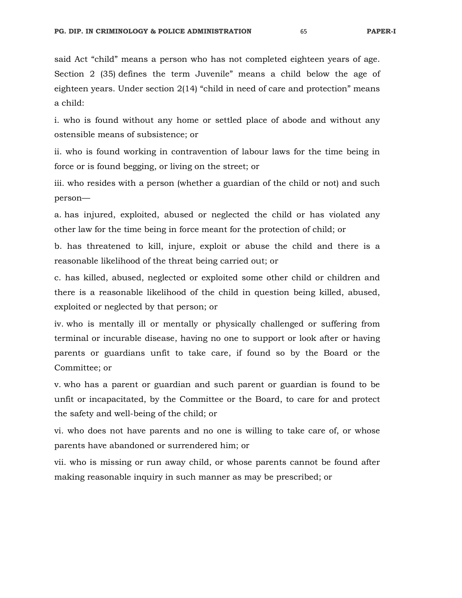said Act "child" means a person who has not completed eighteen years of age. Section 2 (35) defines the term Juvenile" means a child below the age of eighteen years. Under section 2(14) "child in need of care and protection" means a child:

i. who is found without any home or settled place of abode and without any ostensible means of subsistence; or

ii. who is found working in contravention of labour laws for the time being in force or is found begging, or living on the street; or

iii. who resides with a person (whether a guardian of the child or not) and such person—

a. has injured, exploited, abused or neglected the child or has violated any other law for the time being in force meant for the protection of child; or

b. has threatened to kill, injure, exploit or abuse the child and there is a reasonable likelihood of the threat being carried out; or

c. has killed, abused, neglected or exploited some other child or children and there is a reasonable likelihood of the child in question being killed, abused, exploited or neglected by that person; or

iv. who is mentally ill or mentally or physically challenged or suffering from terminal or incurable disease, having no one to support or look after or having parents or guardians unfit to take care, if found so by the Board or the Committee; or

v. who has a parent or guardian and such parent or guardian is found to be unfit or incapacitated, by the Committee or the Board, to care for and protect the safety and well-being of the child; or

vi. who does not have parents and no one is willing to take care of, or whose parents have abandoned or surrendered him; or

vii. who is missing or run away child, or whose parents cannot be found after making reasonable inquiry in such manner as may be prescribed; or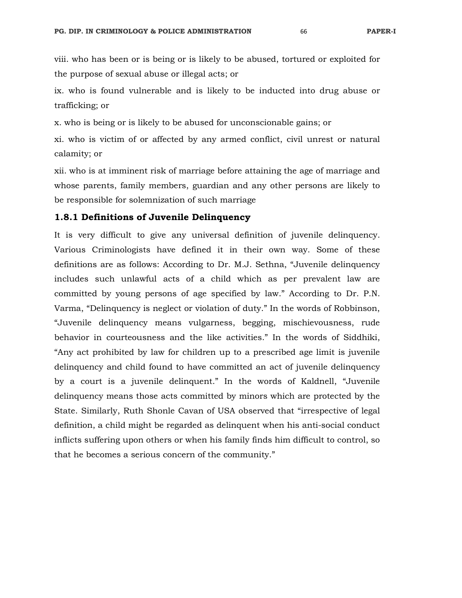viii. who has been or is being or is likely to be abused, tortured or exploited for the purpose of sexual abuse or illegal acts; or

ix. who is found vulnerable and is likely to be inducted into drug abuse or trafficking; or

x. who is being or is likely to be abused for unconscionable gains; or

xi. who is victim of or affected by any armed conflict, civil unrest or natural calamity; or

xii. who is at imminent risk of marriage before attaining the age of marriage and whose parents, family members, guardian and any other persons are likely to be responsible for solemnization of such marriage

#### **1.8.1 Definitions of Juvenile Delinquency**

It is very difficult to give any universal definition of juvenile delinquency. Various Criminologists have defined it in their own way. Some of these definitions are as follows: According to Dr. M.J. Sethna, "Juvenile delinquency includes such unlawful acts of a child which as per prevalent law are committed by young persons of age specified by law." According to Dr. P.N. Varma, "Delinquency is neglect or violation of duty." In the words of Robbinson, "Juvenile delinquency means vulgarness, begging, mischievousness, rude behavior in courteousness and the like activities." In the words of Siddhiki, "Any act prohibited by law for children up to a prescribed age limit is juvenile delinquency and child found to have committed an act of juvenile delinquency by a court is a juvenile delinquent." In the words of Kaldnell, "Juvenile delinquency means those acts committed by minors which are protected by the State. Similarly, Ruth Shonle Cavan of USA observed that "irrespective of legal definition, a child might be regarded as delinquent when his anti-social conduct inflicts suffering upon others or when his family finds him difficult to control, so that he becomes a serious concern of the community."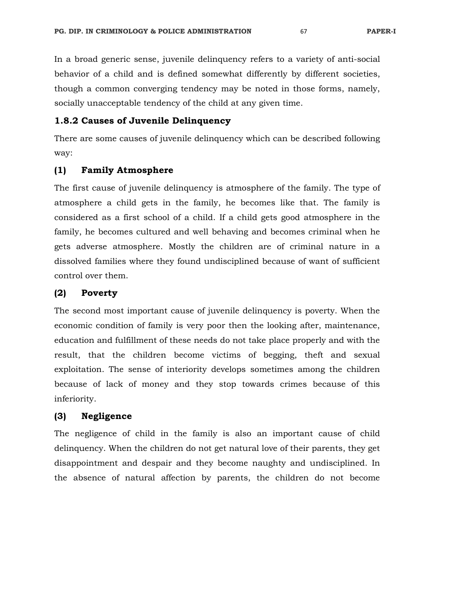In a broad generic sense, juvenile delinquency refers to a variety of anti-social behavior of a child and is defined somewhat differently by different societies, though a common converging tendency may be noted in those forms, namely, socially unacceptable tendency of the child at any given time.

# **1.8.2 Causes of Juvenile Delinquency**

There are some causes of juvenile delinquency which can be described following way:

## **(1) Family Atmosphere**

The first cause of juvenile delinquency is atmosphere of the family. The type of atmosphere a child gets in the family, he becomes like that. The family is considered as a first school of a child. If a child gets good atmosphere in the family, he becomes cultured and well behaving and becomes criminal when he gets adverse atmosphere. Mostly the children are of criminal nature in a dissolved families where they found undisciplined because of want of sufficient control over them.

#### **(2) Poverty**

The second most important cause of juvenile delinquency is poverty. When the economic condition of family is very poor then the looking after, maintenance, education and fulfillment of these needs do not take place properly and with the result, that the children become victims of begging, theft and sexual exploitation. The sense of interiority develops sometimes among the children because of lack of money and they stop towards crimes because of this inferiority.

## **(3) Negligence**

The negligence of child in the family is also an important cause of child delinquency. When the children do not get natural love of their parents, they get disappointment and despair and they become naughty and undisciplined. In the absence of natural affection by parents, the children do not become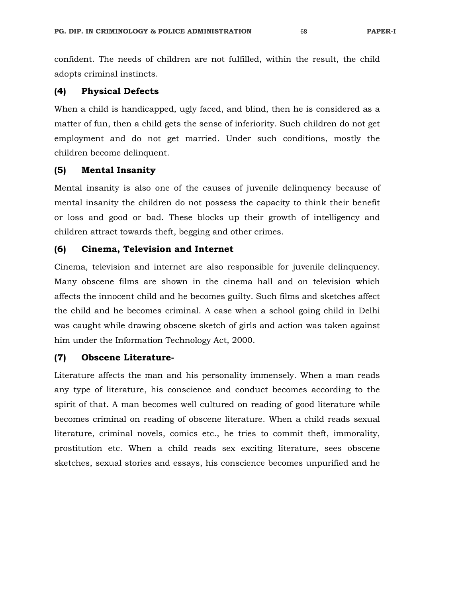confident. The needs of children are not fulfilled, within the result, the child adopts criminal instincts.

## **(4) Physical Defects**

When a child is handicapped, ugly faced, and blind, then he is considered as a matter of fun, then a child gets the sense of inferiority. Such children do not get employment and do not get married. Under such conditions, mostly the children become delinquent.

## **(5) Mental Insanity**

Mental insanity is also one of the causes of juvenile delinquency because of mental insanity the children do not possess the capacity to think their benefit or loss and good or bad. These blocks up their growth of intelligency and children attract towards theft, begging and other crimes.

## **(6) Cinema, Television and Internet**

Cinema, television and internet are also responsible for juvenile delinquency. Many obscene films are shown in the cinema hall and on television which affects the innocent child and he becomes guilty. Such films and sketches affect the child and he becomes criminal. A case when a school going child in Delhi was caught while drawing obscene sketch of girls and action was taken against him under the Information Technology Act, 2000.

## **(7) Obscene Literature-**

Literature affects the man and his personality immensely. When a man reads any type of literature, his conscience and conduct becomes according to the spirit of that. A man becomes well cultured on reading of good literature while becomes criminal on reading of obscene literature. When a child reads sexual literature, criminal novels, comics etc., he tries to commit theft, immorality, prostitution etc. When a child reads sex exciting literature, sees obscene sketches, sexual stories and essays, his conscience becomes unpurified and he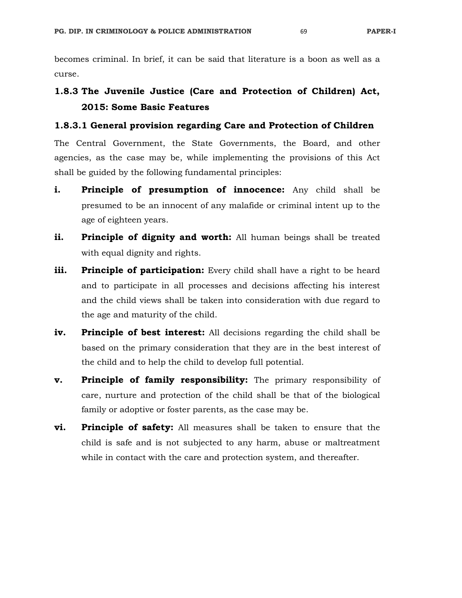becomes criminal. In brief, it can be said that literature is a boon as well as a curse.

# **1.8.3 The Juvenile Justice (Care and Protection of Children) Act, 2015: Some Basic Features**

## **1.8.3.1 General provision regarding Care and Protection of Children**

The Central Government, the State Governments, the Board, and other agencies, as the case may be, while implementing the provisions of this Act shall be guided by the following fundamental principles:

- **i. Principle of presumption of innocence:** Any child shall be presumed to be an innocent of any malafide or criminal intent up to the age of eighteen years.
- **ii.** Principle of dignity and worth: All human beings shall be treated with equal dignity and rights.
- **iii.** Principle of participation: Every child shall have a right to be heard and to participate in all processes and decisions affecting his interest and the child views shall be taken into consideration with due regard to the age and maturity of the child.
- **iv. Principle of best interest:** All decisions regarding the child shall be based on the primary consideration that they are in the best interest of the child and to help the child to develop full potential.
- **v. Principle of family responsibility:** The primary responsibility of care, nurture and protection of the child shall be that of the biological family or adoptive or foster parents, as the case may be.
- **vi. Principle of safety:** All measures shall be taken to ensure that the child is safe and is not subjected to any harm, abuse or maltreatment while in contact with the care and protection system, and thereafter.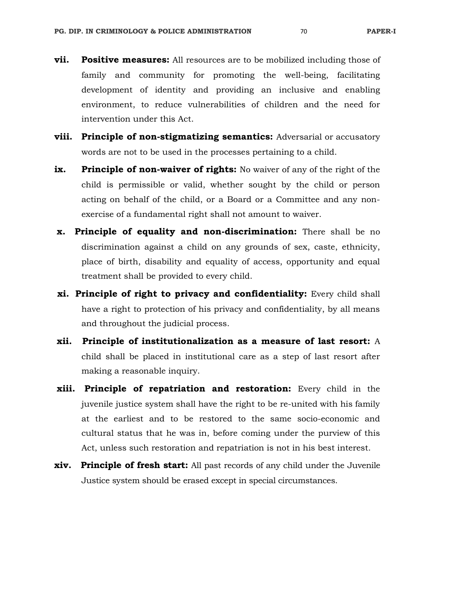- **vii. Positive measures:** All resources are to be mobilized including those of family and community for promoting the well-being, facilitating development of identity and providing an inclusive and enabling environment, to reduce vulnerabilities of children and the need for intervention under this Act.
- **viii. Principle of non-stigmatizing semantics:** Adversarial or accusatory words are not to be used in the processes pertaining to a child.
- **ix. Principle of non-waiver of rights:** No waiver of any of the right of the child is permissible or valid, whether sought by the child or person acting on behalf of the child, or a Board or a Committee and any nonexercise of a fundamental right shall not amount to waiver.
- **x. Principle of equality and non-discrimination:** There shall be no discrimination against a child on any grounds of sex, caste, ethnicity, place of birth, disability and equality of access, opportunity and equal treatment shall be provided to every child.
- **xi. Principle of right to privacy and confidentiality:** Every child shall have a right to protection of his privacy and confidentiality, by all means and throughout the judicial process.
- **xii. Principle of institutionalization as a measure of last resort:** A child shall be placed in institutional care as a step of last resort after making a reasonable inquiry.
- **xiii. Principle of repatriation and restoration:** Every child in the juvenile justice system shall have the right to be re-united with his family at the earliest and to be restored to the same socio-economic and cultural status that he was in, before coming under the purview of this Act, unless such restoration and repatriation is not in his best interest.
- **xiv. Principle of fresh start:** All past records of any child under the Juvenile Justice system should be erased except in special circumstances.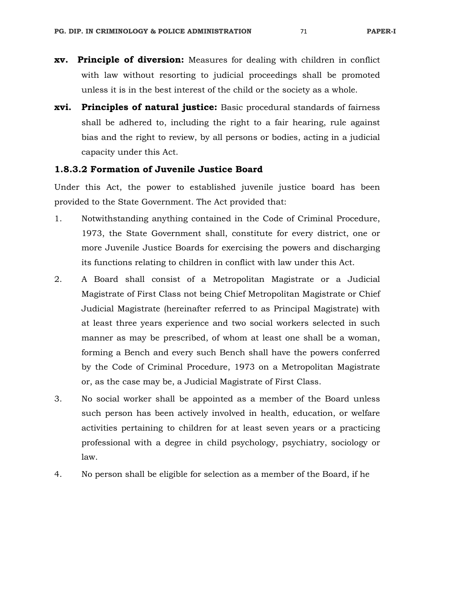- **xv. Principle of diversion:** Measures for dealing with children in conflict with law without resorting to judicial proceedings shall be promoted unless it is in the best interest of the child or the society as a whole.
- **xvi. Principles of natural justice:** Basic procedural standards of fairness shall be adhered to, including the right to a fair hearing, rule against bias and the right to review, by all persons or bodies, acting in a judicial capacity under this Act.

#### **1.8.3.2 Formation of Juvenile Justice Board**

Under this Act, the power to established juvenile justice board has been provided to the State Government. The Act provided that:

- 1. Notwithstanding anything contained in the Code of Criminal Procedure, 1973, the State Government shall, constitute for every district, one or more Juvenile Justice Boards for exercising the powers and discharging its functions relating to children in conflict with law under this Act.
- 2. A Board shall consist of a Metropolitan Magistrate or a Judicial Magistrate of First Class not being Chief Metropolitan Magistrate or Chief Judicial Magistrate (hereinafter referred to as Principal Magistrate) with at least three years experience and two social workers selected in such manner as may be prescribed, of whom at least one shall be a woman, forming a Bench and every such Bench shall have the powers conferred by the Code of Criminal Procedure, 1973 on a Metropolitan Magistrate or, as the case may be, a Judicial Magistrate of First Class.
- 3. No social worker shall be appointed as a member of the Board unless such person has been actively involved in health, education, or welfare activities pertaining to children for at least seven years or a practicing professional with a degree in child psychology, psychiatry, sociology or law.
- 4. No person shall be eligible for selection as a member of the Board, if he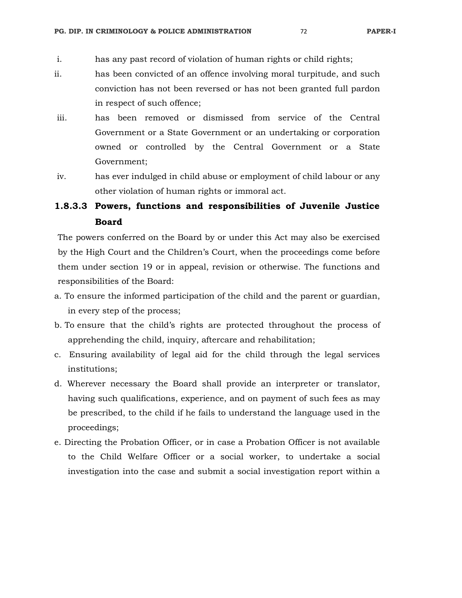- i. has any past record of violation of human rights or child rights;
- ii. has been convicted of an offence involving moral turpitude, and such conviction has not been reversed or has not been granted full pardon in respect of such offence;
- iii. has been removed or dismissed from service of the Central Government or a State Government or an undertaking or corporation owned or controlled by the Central Government or a State Government;
- iv. has ever indulged in child abuse or employment of child labour or any other violation of human rights or immoral act.

# **1.8.3.3 Powers, functions and responsibilities of Juvenile Justice Board**

The powers conferred on the Board by or under this Act may also be exercised by the High Court and the Children's Court, when the proceedings come before them under section 19 or in appeal, revision or otherwise. The functions and responsibilities of the Board:

- a. To ensure the informed participation of the child and the parent or guardian, in every step of the process;
- b. To ensure that the child's rights are protected throughout the process of apprehending the child, inquiry, aftercare and rehabilitation;
- c. Ensuring availability of legal aid for the child through the legal services institutions;
- d. Wherever necessary the Board shall provide an interpreter or translator, having such qualifications, experience, and on payment of such fees as may be prescribed, to the child if he fails to understand the language used in the proceedings;
- e. Directing the Probation Officer, or in case a Probation Officer is not available to the Child Welfare Officer or a social worker, to undertake a social investigation into the case and submit a social investigation report within a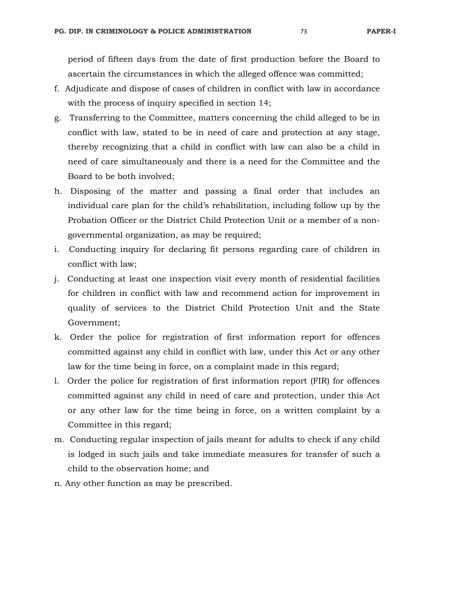period of fifteen days from the date of first production before the Board to ascertain the circumstances in which the alleged offence was committed;

- f. Adjudicate and dispose of cases of children in conflict with law in accordance with the process of inquiry specified in section 14;
- g. Transferring to the Committee, matters concerning the child alleged to be in conflict with law, stated to be in need of care and protection at any stage, thereby recognizing that a child in conflict with law can also be a child in need of care simultaneously and there is a need for the Committee and the Board to be both involved;
- h. Disposing of the matter and passing a final order that includes an individual care plan for the child's rehabilitation, including follow up by the Probation Officer or the District Child Protection Unit or a member of a nongovernmental organization, as may be required;
- i. Conducting inquiry for declaring fit persons regarding care of children in conflict with law;
- j. Conducting at least one inspection visit every month of residential facilities for children in conflict with law and recommend action for improvement in quality of services to the District Child Protection Unit and the State Government;
- k. Order the police for registration of first information report for offences committed against any child in conflict with law, under this Act or any other law for the time being in force, on a complaint made in this regard;
- l. Order the police for registration of first information report (FIR) for offences committed against any child in need of care and protection, under this Act or any other law for the time being in force, on a written complaint by a Committee in this regard;
- m. Conducting regular inspection of jails meant for adults to check if any child is lodged in such jails and take immediate measures for transfer of such a child to the observation home; and
- n. Any other function as may be prescribed.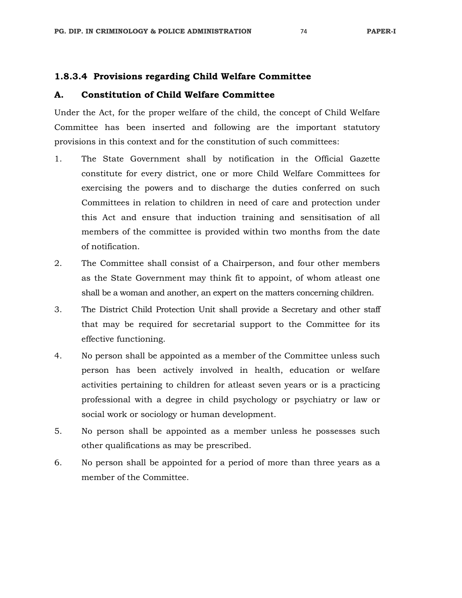### **1.8.3.4 Provisions regarding Child Welfare Committee**

#### **A. Constitution of Child Welfare Committee**

Under the Act, for the proper welfare of the child, the concept of Child Welfare Committee has been inserted and following are the important statutory provisions in this context and for the constitution of such committees:

- 1. The State Government shall by notification in the Official Gazette constitute for every district, one or more Child Welfare Committees for exercising the powers and to discharge the duties conferred on such Committees in relation to children in need of care and protection under this Act and ensure that induction training and sensitisation of all members of the committee is provided within two months from the date of notification.
- 2. The Committee shall consist of a Chairperson, and four other members as the State Government may think fit to appoint, of whom atleast one shall be a woman and another, an expert on the matters concerning children.
- 3. The District Child Protection Unit shall provide a Secretary and other staff that may be required for secretarial support to the Committee for its effective functioning.
- 4. No person shall be appointed as a member of the Committee unless such person has been actively involved in health, education or welfare activities pertaining to children for atleast seven years or is a practicing professional with a degree in child psychology or psychiatry or law or social work or sociology or human development.
- 5. No person shall be appointed as a member unless he possesses such other qualifications as may be prescribed.
- 6. No person shall be appointed for a period of more than three years as a member of the Committee.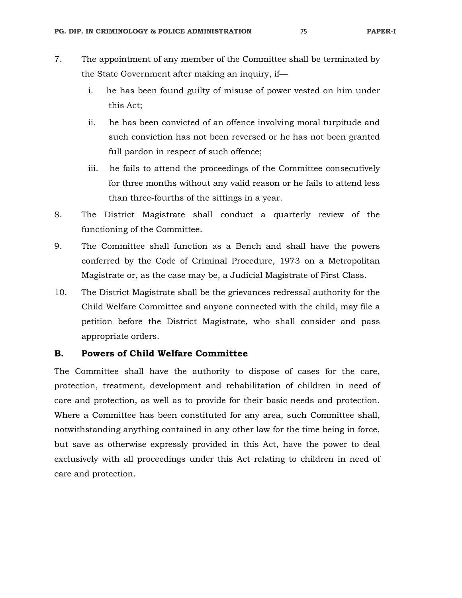- 7. The appointment of any member of the Committee shall be terminated by the State Government after making an inquiry, if
	- i. he has been found guilty of misuse of power vested on him under this Act;
	- ii. he has been convicted of an offence involving moral turpitude and such conviction has not been reversed or he has not been granted full pardon in respect of such offence;
	- iii. he fails to attend the proceedings of the Committee consecutively for three months without any valid reason or he fails to attend less than three-fourths of the sittings in a year.
- 8. The District Magistrate shall conduct a quarterly review of the functioning of the Committee.
- 9. The Committee shall function as a Bench and shall have the powers conferred by the Code of Criminal Procedure, 1973 on a Metropolitan Magistrate or, as the case may be, a Judicial Magistrate of First Class.
- 10. The District Magistrate shall be the grievances redressal authority for the Child Welfare Committee and anyone connected with the child, may file a petition before the District Magistrate, who shall consider and pass appropriate orders.

#### **B. Powers of Child Welfare Committee**

The Committee shall have the authority to dispose of cases for the care, protection, treatment, development and rehabilitation of children in need of care and protection, as well as to provide for their basic needs and protection. Where a Committee has been constituted for any area, such Committee shall, notwithstanding anything contained in any other law for the time being in force, but save as otherwise expressly provided in this Act, have the power to deal exclusively with all proceedings under this Act relating to children in need of care and protection.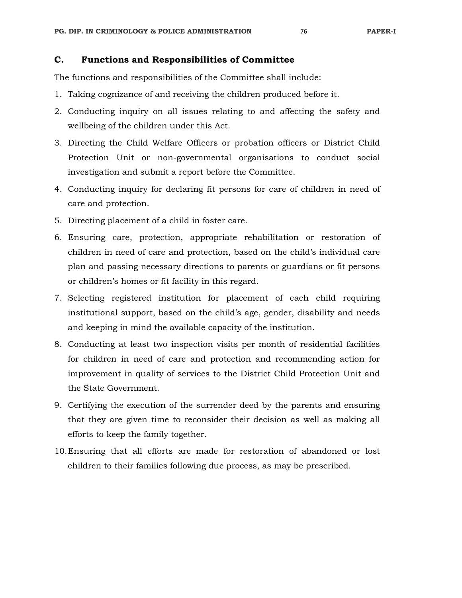### **C. Functions and Responsibilities of Committee**

The functions and responsibilities of the Committee shall include:

- 1. Taking cognizance of and receiving the children produced before it.
- 2. Conducting inquiry on all issues relating to and affecting the safety and wellbeing of the children under this Act.
- 3. Directing the Child Welfare Officers or probation officers or District Child Protection Unit or non-governmental organisations to conduct social investigation and submit a report before the Committee.
- 4. Conducting inquiry for declaring fit persons for care of children in need of care and protection.
- 5. Directing placement of a child in foster care.
- 6. Ensuring care, protection, appropriate rehabilitation or restoration of children in need of care and protection, based on the child's individual care plan and passing necessary directions to parents or guardians or fit persons or children's homes or fit facility in this regard.
- 7. Selecting registered institution for placement of each child requiring institutional support, based on the child's age, gender, disability and needs and keeping in mind the available capacity of the institution.
- 8. Conducting at least two inspection visits per month of residential facilities for children in need of care and protection and recommending action for improvement in quality of services to the District Child Protection Unit and the State Government.
- 9. Certifying the execution of the surrender deed by the parents and ensuring that they are given time to reconsider their decision as well as making all efforts to keep the family together.
- 10.Ensuring that all efforts are made for restoration of abandoned or lost children to their families following due process, as may be prescribed.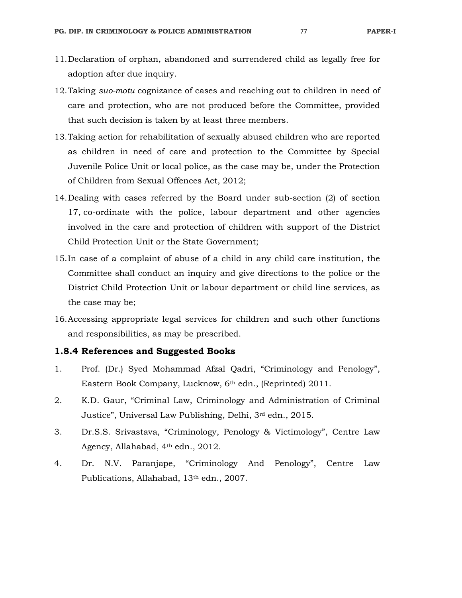- 11.Declaration of orphan, abandoned and surrendered child as legally free for adoption after due inquiry.
- 12.Taking *suo-motu* cognizance of cases and reaching out to children in need of care and protection, who are not produced before the Committee, provided that such decision is taken by at least three members.
- 13.Taking action for rehabilitation of sexually abused children who are reported as children in need of care and protection to the Committee by Special Juvenile Police Unit or local police, as the case may be, under the Protection of Children from Sexual Offences Act, 2012;
- 14.Dealing with cases referred by the Board under sub-section (2) of section 17, co-ordinate with the police, labour department and other agencies involved in the care and protection of children with support of the District Child Protection Unit or the State Government;
- 15.In case of a complaint of abuse of a child in any child care institution, the Committee shall conduct an inquiry and give directions to the police or the District Child Protection Unit or labour department or child line services, as the case may be;
- 16.Accessing appropriate legal services for children and such other functions and responsibilities, as may be prescribed.

#### **1.8.4 References and Suggested Books**

- 1. Prof. (Dr.) Syed Mohammad Afzal Qadri, "Criminology and Penology", Eastern Book Company, Lucknow, 6th edn., (Reprinted) 2011.
- 2. K.D. Gaur, "Criminal Law, Criminology and Administration of Criminal Justice", Universal Law Publishing, Delhi, 3rd edn., 2015.
- 3. Dr.S.S. Srivastava, "Criminology, Penology & Victimology", Centre Law Agency, Allahabad, 4<sup>th</sup> edn., 2012.
- 4. Dr. N.V. Paranjape, "Criminology And Penology", Centre Law Publications, Allahabad, 13<sup>th</sup> edn., 2007.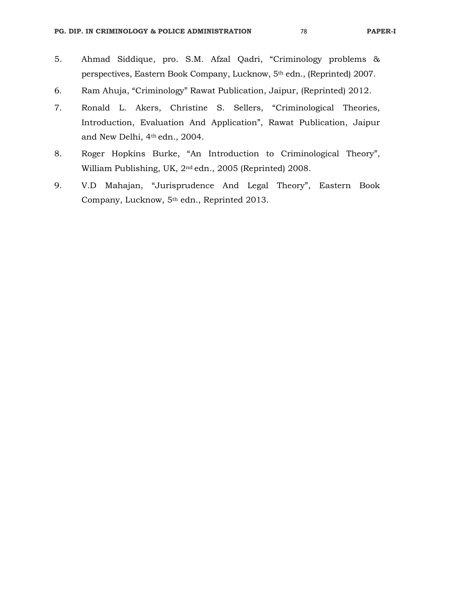- 5. Ahmad Siddique, pro. S.M. Afzal Qadri, "Criminology problems & perspectives, Eastern Book Company, Lucknow, 5th edn., (Reprinted) 2007.
- 6. Ram Ahuja, "Criminology" Rawat Publication, Jaipur, (Reprinted) 2012.
- 7. Ronald L. Akers, Christine S. Sellers, "Criminological Theories, Introduction, Evaluation And Application", Rawat Publication, Jaipur and New Delhi, 4th edn., 2004.
- 8. Roger Hopkins Burke, "An Introduction to Criminological Theory", William Publishing, UK, 2nd edn., 2005 (Reprinted) 2008.
- 9. V.D Mahajan, "Jurisprudence And Legal Theory", Eastern Book Company, Lucknow, 5th edn., Reprinted 2013.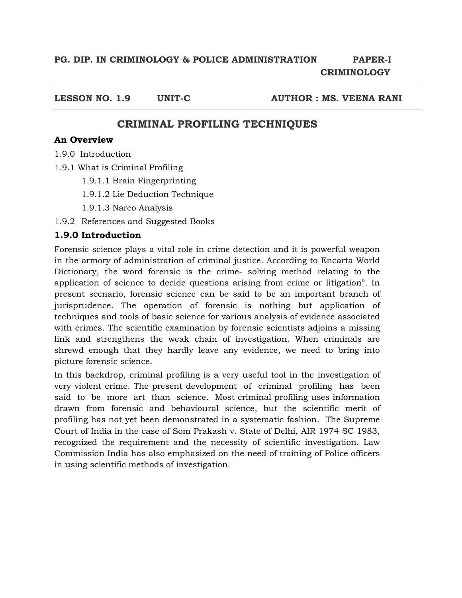**LESSON NO. 1.9 UNIT-C AUTHOR : MS. VEENA RANI** 

# **CRIMINAL PROFILING TECHNIQUES**

## **An Overview**

- 1.9.0 Introduction
- 1.9.1 What is Criminal Profiling
	- 1.9.1.1 Brain Fingerprinting
	- 1.9.1.2 Lie Deduction Technique
	- 1.9.1.3 Narco Analysis
- 1.9.2 References and Suggested Books

# **1.9.0 Introduction**

Forensic science plays a vital role in crime detection and it is powerful weapon in the armory of administration of criminal justice. According to Encarta World Dictionary, the word forensic is the crime- solving method relating to the application of science to decide questions arising from crime or litigation". In present scenario, forensic science can be said to be an important branch of jurisprudence. The operation of forensic is nothing but application of techniques and tools of basic science for various analysis of evidence associated with crimes. The scientific examination by forensic scientists adjoins a missing link and strengthens the weak chain of investigation. When criminals are shrewd enough that they hardly leave any evidence, we need to bring into picture forensic science.

In this backdrop, criminal profiling is a very useful tool in the investigation of very violent crime. The present development of criminal profiling has been said to be more art than science. Most criminal profiling uses information drawn from forensic and behavioural science, but the scientific merit of profiling has not yet been demonstrated in a systematic fashion. The Supreme Court of India in the case of Som Prakash v. State of Delhi, AIR 1974 SC 1983, recognized the requirement and the necessity of scientific investigation. Law Commission India has also emphasized on the need of training of Police officers in using scientific methods of investigation.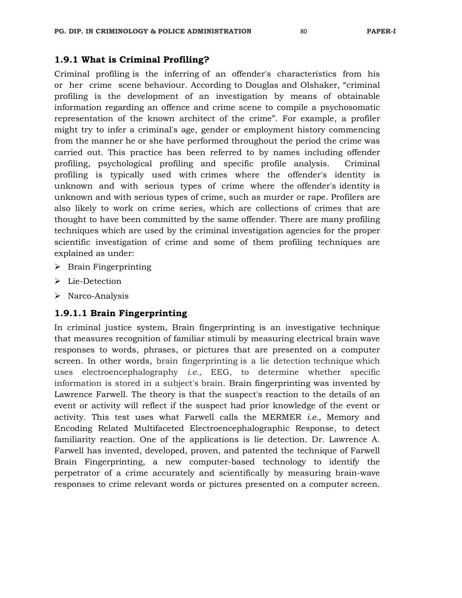## **1.9.1 What is Criminal Profiling?**

Criminal profiling is the inferring of an offender's characteristics from his or her crime scene behaviour. According to Douglas and Olshaker, "criminal profiling is the development of an investigation by means of obtainable information regarding an offence and crime scene to compile a psychosomatic representation of the known architect of the crime". For example, a profiler might try to infer a criminal's age, gender or employment history commencing from the manner he or she have performed throughout the period the crime was carried out. This practice has been referred to by names including offender profiling, psychological profiling and specific profile analysis. Criminal profiling is typically used with crimes where the offender's identity is unknown and with serious types of crime where the offender's identity is unknown and with serious types of crime, such as murder or rape. Profilers are also likely to work on crime series, which are collections of crimes that are thought to have been committed by the same offender. There are many profiling techniques which are used by the criminal investigation agencies for the proper scientific investigation of crime and some of them profiling techniques are explained as under:

- $\triangleright$  Brain Fingerprinting
- > Lie-Detection
- $\triangleright$  Narco-Analysis

# **1.9.1.1 Brain Fingerprinting**

In criminal justice system, Brain fingerprinting is an investigative technique that measures recognition of familiar stimuli by measuring electrical brain wave responses to words, phrases, or pictures that are presented on a computer screen. In other words, brain fingerprinting is a lie detection technique which uses electroencephalography *i.e.,* EEG, to determine whether specific information is stored in a subject's brain. Brain fingerprinting was invented by Lawrence Farwell. The theory is that the suspect's reaction to the details of an event or activity will reflect if the suspect had prior knowledge of the event or activity. This test uses what Farwell calls the MERMER *i.e.,* Memory and Encoding Related Multifaceted Electroencephalographic Response, to detect familiarity reaction. One of the applications is lie detection. Dr. Lawrence A. Farwell has invented, developed, proven, and patented the technique of Farwell Brain Fingerprinting, a new computer-based technology to identify the perpetrator of a crime accurately and scientifically by measuring brain-wave responses to crime relevant words or pictures presented on a computer screen.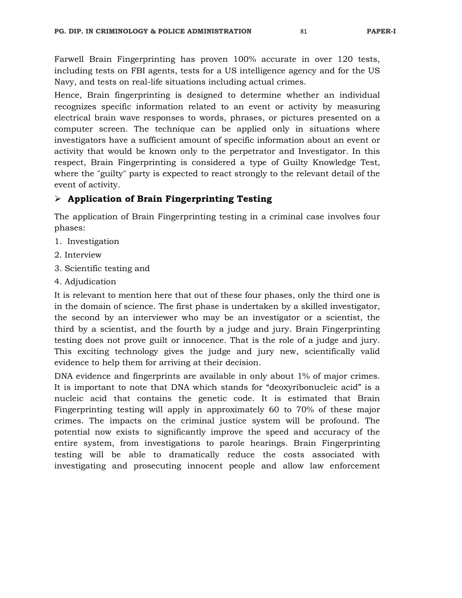Farwell Brain Fingerprinting has proven 100% accurate in over 120 tests, including tests on FBI agents, tests for a US intelligence agency and for the US Navy, and tests on real-life situations including actual crimes.

Hence, Brain fingerprinting is designed to determine whether an individual recognizes specific information related to an event or activity by measuring electrical brain wave responses to words, phrases, or pictures presented on a computer screen. The technique can be applied only in situations where investigators have a sufficient amount of specific information about an event or activity that would be known only to the perpetrator and Investigator. In this respect, Brain Fingerprinting is considered a type of Guilty Knowledge Test, where the "guilty" party is expected to react strongly to the relevant detail of the event of activity.

# **Application of Brain Fingerprinting Testing**

The application of Brain Fingerprinting testing in a criminal case involves four phases:

- 1. Investigation
- 2. Interview
- 3. Scientific testing and
- 4. Adjudication

It is relevant to mention here that out of these four phases, only the third one is in the domain of science. The first phase is undertaken by a skilled investigator, the second by an interviewer who may be an investigator or a scientist, the third by a scientist, and the fourth by a judge and jury. Brain Fingerprinting testing does not prove guilt or innocence. That is the role of a judge and jury. This exciting technology gives the judge and jury new, scientifically valid evidence to help them for arriving at their decision.

DNA evidence and fingerprints are available in only about 1% of major crimes. It is important to note that DNA which stands for "deoxyribonucleic acid" is a nucleic acid that contains the genetic code. It is estimated that Brain Fingerprinting testing will apply in approximately 60 to 70% of these major crimes. The impacts on the criminal justice system will be profound. The potential now exists to significantly improve the speed and accuracy of the entire system, from investigations to parole hearings. Brain Fingerprinting testing will be able to dramatically reduce the costs associated with investigating and prosecuting innocent people and allow law enforcement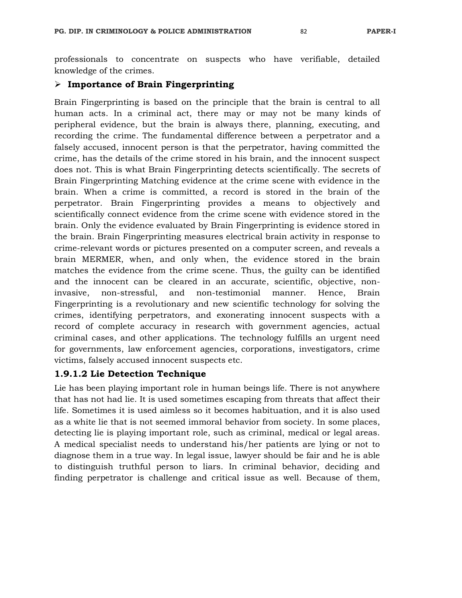professionals to concentrate on suspects who have verifiable, detailed knowledge of the crimes.

#### **Importance of Brain Fingerprinting**

Brain Fingerprinting is based on the principle that the brain is central to all human acts. In a criminal act, there may or may not be many kinds of peripheral evidence, but the brain is always there, planning, executing, and recording the crime. The fundamental difference between a perpetrator and a falsely accused, innocent person is that the perpetrator, having committed the crime, has the details of the crime stored in his brain, and the innocent suspect does not. This is what Brain Fingerprinting detects scientifically. The secrets of Brain Fingerprinting Matching evidence at the crime scene with evidence in the brain. When a crime is committed, a record is stored in the brain of the perpetrator. Brain Fingerprinting provides a means to objectively and scientifically connect evidence from the crime scene with evidence stored in the brain. Only the evidence evaluated by Brain Fingerprinting is evidence stored in the brain. Brain Fingerprinting measures electrical brain activity in response to crime-relevant words or pictures presented on a computer screen, and reveals a brain MERMER, when, and only when, the evidence stored in the brain matches the evidence from the crime scene. Thus, the guilty can be identified and the innocent can be cleared in an accurate, scientific, objective, noninvasive, non-stressful, and non-testimonial manner. Hence, Brain Fingerprinting is a revolutionary and new scientific technology for solving the crimes, identifying perpetrators, and exonerating innocent suspects with a record of complete accuracy in research with government agencies, actual criminal cases, and other applications. The technology fulfills an urgent need for governments, law enforcement agencies, corporations, investigators, crime victims, falsely accused innocent suspects etc.

### **1.9.1.2 Lie Detection Technique**

Lie has been playing important role in human beings life. There is not anywhere that has not had lie. It is used sometimes escaping from threats that affect their life. Sometimes it is used aimless so it becomes habituation, and it is also used as a white lie that is not seemed immoral behavior from society. In some places, detecting lie is playing important role, such as criminal, medical or legal areas. A medical specialist needs to understand his/her patients are lying or not to diagnose them in a true way. In legal issue, lawyer should be fair and he is able to distinguish truthful person to liars. In criminal behavior, deciding and finding perpetrator is challenge and critical issue as well. Because of them,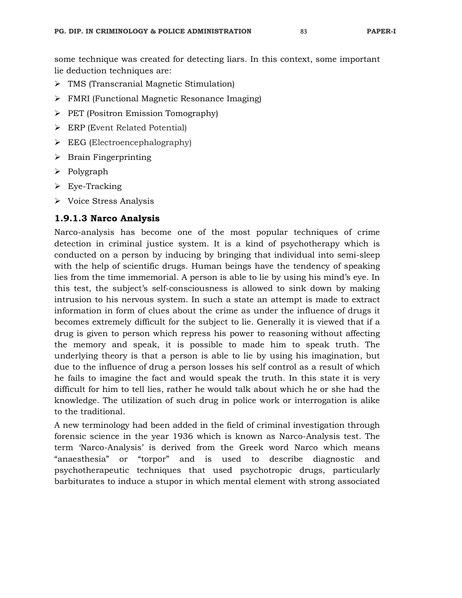some technique was created for detecting liars. In this context, some important lie deduction techniques are:

- TMS (Transcranial Magnetic Stimulation)
- FMRI (Functional Magnetic Resonance Imaging)
- $\triangleright$  PET (Positron Emission Tomography)
- ERP (Event Related Potential)
- $\triangleright$  EEG (Electroencephalography)
- $\triangleright$  Brain Fingerprinting
- $\triangleright$  Polygraph
- Eye-Tracking
- $\triangleright$  Voice Stress Analysis

# **1.9.1.3 Narco Analysis**

Narco-analysis has become one of the most popular techniques of crime detection in criminal justice system. It is a kind of psychotherapy which is conducted on a person by inducing by bringing that individual into semi-sleep with the help of scientific drugs. Human beings have the tendency of speaking lies from the time immemorial. A person is able to lie by using his mind's eye. In this test, the subject's self-consciousness is allowed to sink down by making intrusion to his nervous system. In such a state an attempt is made to extract information in form of clues about the crime as under the influence of drugs it becomes extremely difficult for the subject to lie. Generally it is viewed that if a drug is given to person which repress his power to reasoning without affecting the memory and speak, it is possible to made him to speak truth. The underlying theory is that a person is able to lie by using his imagination, but due to the influence of drug a person losses his self control as a result of which he fails to imagine the fact and would speak the truth. In this state it is very difficult for him to tell lies, rather he would talk about which he or she had the knowledge. The utilization of such drug in police work or interrogation is alike to the traditional.

A new terminology had been added in the field of criminal investigation through forensic science in the year 1936 which is known as Narco-Analysis test. The term 'Narco-Analysis' is derived from the Greek word Narco which means "anaesthesia" or "torpor" and is used to describe diagnostic and psychotherapeutic techniques that used psychotropic drugs, particularly barbiturates to induce a stupor in which mental element with strong associated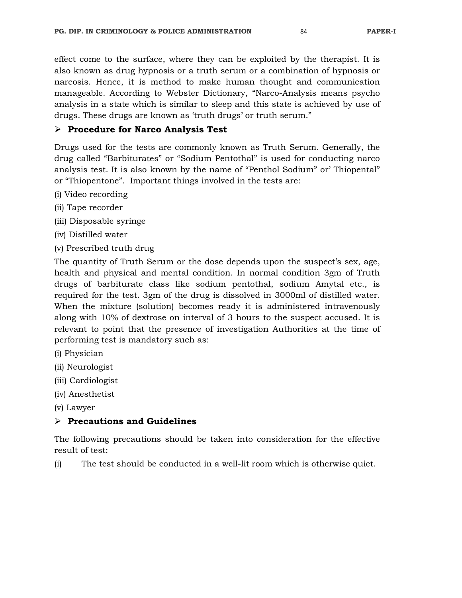effect come to the surface, where they can be exploited by the therapist. It is also known as drug hypnosis or a truth serum or a combination of hypnosis or narcosis. Hence, it is method to make human thought and communication manageable. According to Webster Dictionary, "Narco-Analysis means psycho analysis in a state which is similar to sleep and this state is achieved by use of drugs. These drugs are known as 'truth drugs' or truth serum."

### **Procedure for Narco Analysis Test**

Drugs used for the tests are commonly known as Truth Serum. Generally, the drug called "Barbiturates" or "Sodium Pentothal" is used for conducting narco analysis test. It is also known by the name of "Penthol Sodium" or' Thiopental" or "Thiopentone". Important things involved in the tests are:

- (i) Video recording
- (ii) Tape recorder
- (iii) Disposable syringe
- (iv) Distilled water
- (v) Prescribed truth drug

The quantity of Truth Serum or the dose depends upon the suspect's sex, age, health and physical and mental condition. In normal condition 3gm of Truth drugs of barbiturate class like sodium pentothal, sodium Amytal etc., is required for the test. 3gm of the drug is dissolved in 3000ml of distilled water. When the mixture (solution) becomes ready it is administered intravenously along with 10% of dextrose on interval of 3 hours to the suspect accused. It is relevant to point that the presence of investigation Authorities at the time of performing test is mandatory such as:

- (i) Physician
- (ii) Neurologist
- (iii) Cardiologist
- (iv) Anesthetist
- (v) Lawyer

### **Precautions and Guidelines**

The following precautions should be taken into consideration for the effective result of test:

(i) The test should be conducted in a well-lit room which is otherwise quiet.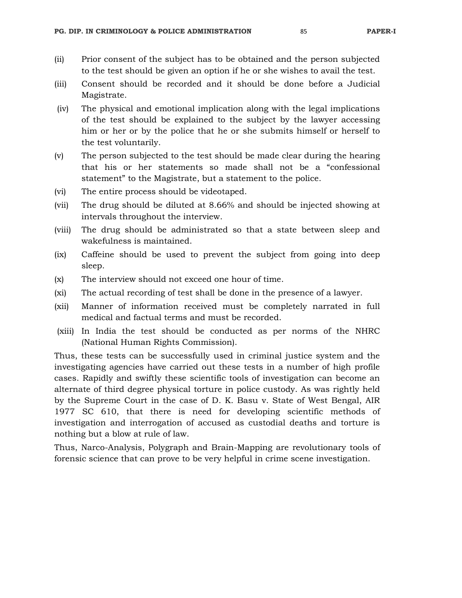- (ii) Prior consent of the subject has to be obtained and the person subjected to the test should be given an option if he or she wishes to avail the test.
- (iii) Consent should be recorded and it should be done before a Judicial Magistrate.
- (iv) The physical and emotional implication along with the legal implications of the test should be explained to the subject by the lawyer accessing him or her or by the police that he or she submits himself or herself to the test voluntarily.
- (v) The person subjected to the test should be made clear during the hearing that his or her statements so made shall not be a "confessional statement" to the Magistrate, but a statement to the police.
- (vi) The entire process should be videotaped.
- (vii) The drug should be diluted at 8.66% and should be injected showing at intervals throughout the interview.
- (viii) The drug should be administrated so that a state between sleep and wakefulness is maintained.
- (ix) Caffeine should be used to prevent the subject from going into deep sleep.
- (x) The interview should not exceed one hour of time.
- (xi) The actual recording of test shall be done in the presence of a lawyer.
- (xii) Manner of information received must be completely narrated in full medical and factual terms and must be recorded.
- (xiii) In India the test should be conducted as per norms of the NHRC (National Human Rights Commission).

Thus, these tests can be successfully used in criminal justice system and the investigating agencies have carried out these tests in a number of high profile cases. Rapidly and swiftly these scientific tools of investigation can become an alternate of third degree physical torture in police custody. As was rightly held by the Supreme Court in the case of D. K. Basu v. State of West Bengal, AIR 1977 SC 610, that there is need for developing scientific methods of investigation and interrogation of accused as custodial deaths and torture is nothing but a blow at rule of law.

Thus, Narco-Analysis, Polygraph and Brain-Mapping are revolutionary tools of forensic science that can prove to be very helpful in crime scene investigation.